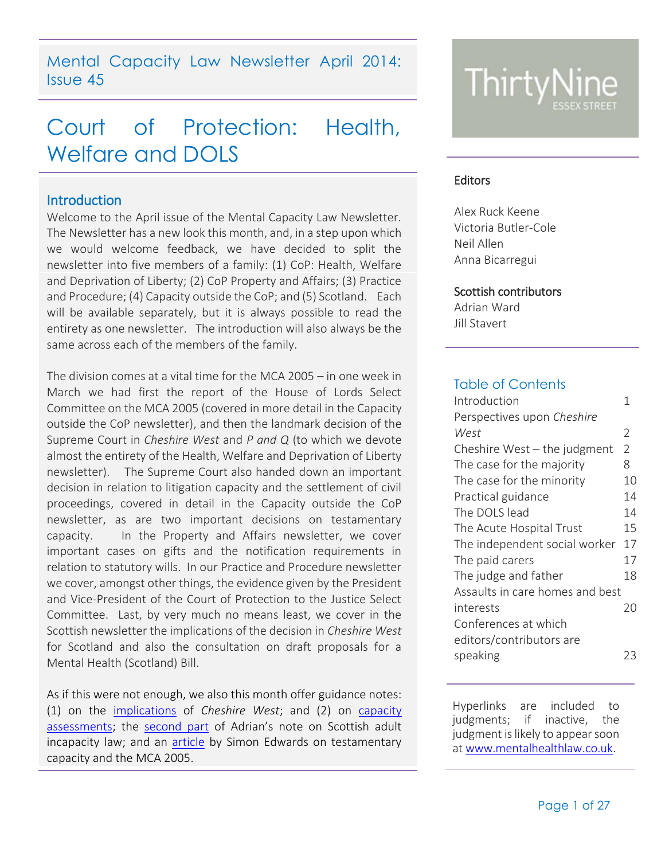Mental Capacity Law Newsletter April 2014: Issue 45

# Court of Protection: Health, Welfare and DOLS

## <span id="page-0-0"></span>**Introduction**

Welcome to the April issue of the Mental Capacity Law Newsletter. The Newsletter has a new look this month, and, in a step upon which we would welcome feedback, we have decided to split the newsletter into five members of a family: (1) CoP: Health, Welfare and Deprivation of Liberty; (2) CoP Property and Affairs; (3) Practice and Procedure; (4) Capacity outside the CoP; and (5) Scotland. Each will be available separately, but it is always possible to read the entirety as one newsletter. The introduction will also always be the same across each of the members of the family.

The division comes at a vital time for the MCA 2005 – in one week in March we had first the report of the House of Lords Select Committee on the MCA 2005 (covered in more detail in the Capacity outside the CoP newsletter), and then the landmark decision of the Supreme Court in *Cheshire West* and *P and Q* (to which we devote almost the entirety of the Health, Welfare and Deprivation of Liberty newsletter). The Supreme Court also handed down an important decision in relation to litigation capacity and the settlement of civil proceedings, covered in detail in the Capacity outside the CoP newsletter, as are two important decisions on testamentary capacity. In the Property and Affairs newsletter, we cover important cases on gifts and the notification requirements in relation to statutory wills. In our Practice and Procedure newsletter we cover, amongst other things, the evidence given by the President and Vice-President of the Court of Protection to the Justice Select Committee. Last, by very much no means least, we cover in the Scottish newsletter the implications of the decision in *Cheshire West* for Scotland and also the consultation on draft proposals for a Mental Health (Scotland) Bill.

As if this were not enough, we also this month offer guidance notes: (1) on the [implications](http://www.39essex.com/docs/newsletters/deprivation_of_liberty_after_cheshire_west_-_a_guide_for_front-line_staff.pdf) of *Cheshire West*; and (2) on [capacity](http://www.39essex.com/docs/newsletters/capacityassessmentsguide31mar14.pdf)  [assessments;](http://www.39essex.com/docs/newsletters/capacityassessmentsguide31mar14.pdf) the [second part](http://www.39essex.com/docs/newsletters/scots_law_part_2.pdf) of Adrian's note on Scottish adult incapacity law; and an [article](http://www.39essex.com/docs/newsletters/testamentary_capacity_and_the_mental_capacity_act_-_article_-_2.pdf) by Simon Edwards on testamentary capacity and the MCA 2005.



#### **Editors**

Alex Ruck Keene Victoria Butler-Cole Neil Allen Anna Bicarregui

#### Scottish contributors

Adrian Ward Jill Stavert

## Table of Contents

| Introduction                    | 1              |
|---------------------------------|----------------|
| Perspectives upon Cheshire      |                |
| West                            | 2              |
| Cheshire West – the judgment    | $\overline{2}$ |
| The case for the majority       | 8              |
| The case for the minority       | 10             |
| Practical guidance              | 14             |
| The DOLS lead                   | 14             |
| The Acute Hospital Trust        | 15             |
| The independent social worker   | 17             |
| The paid carers                 | 17             |
| The judge and father            | 18             |
| Assaults in care homes and best |                |
| interests                       | 20             |
| Conferences at which            |                |
| editors/contributors are        |                |
| speaking                        | 23             |

Hyperlinks are included to judgments; if inactive, the judgment is likely to appear soon at [www.mentalhealthlaw.co.uk.](http://www.mentalhealthlaw.co.uk/)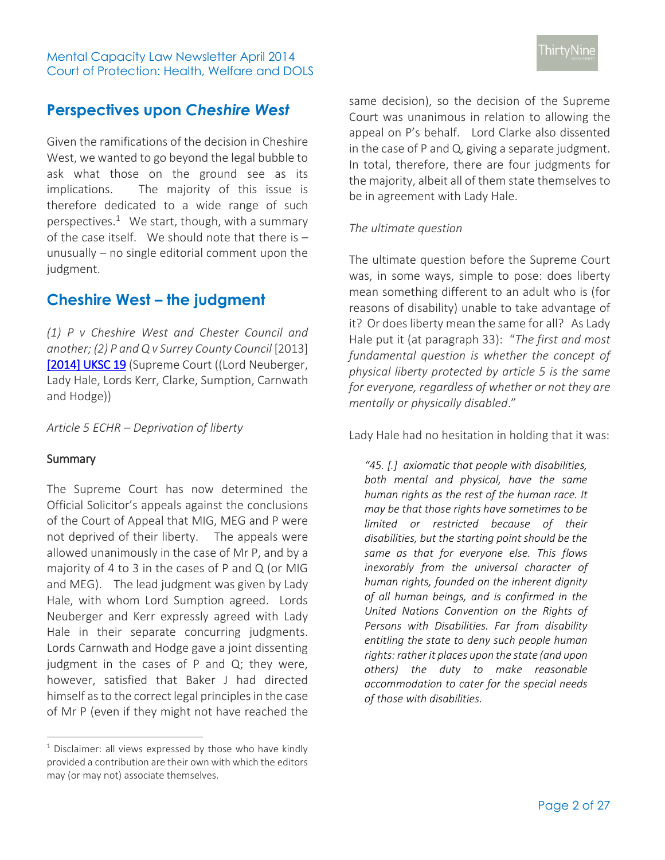## <span id="page-1-0"></span>**Perspectives upon** *Cheshire West*

Given the ramifications of the decision in Cheshire West, we wanted to go beyond the legal bubble to ask what those on the ground see as its implications. The majority of this issue is therefore dedicated to a wide range of such perspectives. $1$  We start, though, with a summary of the case itself. We should note that there is  $$ unusually – no single editorial comment upon the judgment.

## <span id="page-1-1"></span>**Cheshire West – the judgment**

*(1) P v Cheshire West and Chester Council and another; (2) P and Q v Surrey County Council* [2013] [\[2014\] UKSC 19](http://www.bailii.org/uk/cases/UKSC/2014/19.html) (Supreme Court ((Lord Neuberger, Lady Hale, Lords Kerr, Clarke, Sumption, Carnwath and Hodge))

*Article 5 ECHR – Deprivation of liberty* 

## **Summary**

 $\overline{a}$ 

The Supreme Court has now determined the Official Solicitor's appeals against the conclusions of the Court of Appeal that MIG, MEG and P were not deprived of their liberty. The appeals were allowed unanimously in the case of Mr P, and by a majority of 4 to 3 in the cases of P and Q (or MIG and MEG). The lead judgment was given by Lady Hale, with whom Lord Sumption agreed. Lords Neuberger and Kerr expressly agreed with Lady Hale in their separate concurring judgments. Lords Carnwath and Hodge gave a joint dissenting judgment in the cases of P and Q; they were, however, satisfied that Baker J had directed himself as to the correct legal principles in the case of Mr P (even if they might not have reached the

 $1$  Disclaimer: all views expressed by those who have kindly provided a contribution are their own with which the editors may (or may not) associate themselves.

same decision), so the decision of the Supreme Court was unanimous in relation to allowing the appeal on P's behalf. Lord Clarke also dissented in the case of P and Q, giving a separate judgment. In total, therefore, there are four judgments for the majority, albeit all of them state themselves to be in agreement with Lady Hale.

### *The ultimate question*

The ultimate question before the Supreme Court was, in some ways, simple to pose: does liberty mean something different to an adult who is (for reasons of disability) unable to take advantage of it? Or does liberty mean the same for all? As Lady Hale put it (at paragraph 33): "*The first and most fundamental question is whether the concept of physical liberty protected by article 5 is the same for everyone, regardless of whether or not they are mentally or physically disabled*."

Lady Hale had no hesitation in holding that it was:

*"45. [.] axiomatic that people with disabilities, both mental and physical, have the same human rights as the rest of the human race. It may be that those rights have sometimes to be limited or restricted because of their disabilities, but the starting point should be the same as that for everyone else. This flows inexorably from the universal character of human rights, founded on the inherent dignity of all human beings, and is confirmed in the United Nations Convention on the Rights of Persons with Disabilities. Far from disability entitling the state to deny such people human rights: rather it places upon the state (and upon others) the duty to make reasonable accommodation to cater for the special needs of those with disabilities.*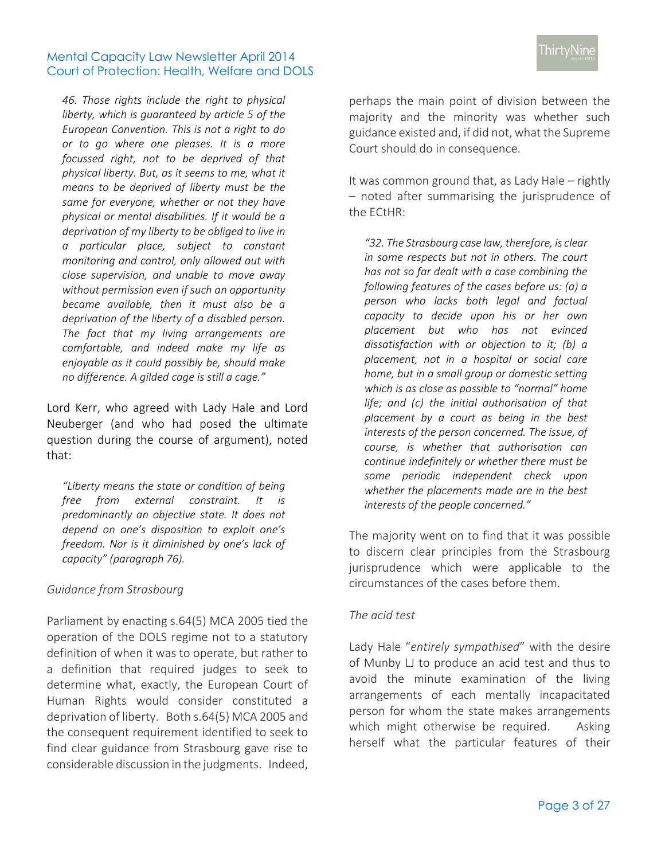*46. Those rights include the right to physical liberty, which is guaranteed by article 5 of the European Convention. This is not a right to do or to go where one pleases. It is a more focussed right, not to be deprived of that physical liberty. But, as it seems to me, what it means to be deprived of liberty must be the same for everyone, whether or not they have physical or mental disabilities. If it would be a deprivation of my liberty to be obliged to live in a particular place, subject to constant monitoring and control, only allowed out with close supervision, and unable to move away without permission even if such an opportunity became available, then it must also be a deprivation of the liberty of a disabled person. The fact that my living arrangements are comfortable, and indeed make my life as enjoyable as it could possibly be, should make no difference. A gilded cage is still a cage."*

Lord Kerr, who agreed with Lady Hale and Lord Neuberger (and who had posed the ultimate question during the course of argument), noted that:

*"Liberty means the state or condition of being free from external constraint. It is predominantly an objective state. It does not depend on one's disposition to exploit one's freedom. Nor is it diminished by one's lack of capacity" (paragraph 76).* 

## *Guidance from Strasbourg*

Parliament by enacting s.64(5) MCA 2005 tied the operation of the DOLS regime not to a statutory definition of when it was to operate, but rather to a definition that required judges to seek to determine what, exactly, the European Court of Human Rights would consider constituted a deprivation of liberty. Both s.64(5) MCA 2005 and the consequent requirement identified to seek to find clear guidance from Strasbourg gave rise to considerable discussion in the judgments. Indeed,

perhaps the main point of division between the majority and the minority was whether such guidance existed and, if did not, what the Supreme Court should do in consequence.

It was common ground that, as Lady Hale – rightly – noted after summarising the jurisprudence of the ECtHR:

*"32. The Strasbourg case law, therefore, is clear in some respects but not in others. The court has not so far dealt with a case combining the following features of the cases before us: (a) a person who lacks both legal and factual capacity to decide upon his or her own placement but who has not evinced dissatisfaction with or objection to it; (b) a placement, not in a hospital or social care home, but in a small group or domestic setting which is as close as possible to "normal" home life; and (c) the initial authorisation of that placement by a court as being in the best interests of the person concerned. The issue, of course, is whether that authorisation can continue indefinitely or whether there must be some periodic independent check upon whether the placements made are in the best interests of the people concerned."*

The majority went on to find that it was possible to discern clear principles from the Strasbourg jurisprudence which were applicable to the circumstances of the cases before them.

## *The acid test*

Lady Hale "*entirely sympathised*" with the desire of Munby LJ to produce an acid test and thus to avoid the minute examination of the living arrangements of each mentally incapacitated person for whom the state makes arrangements which might otherwise be required. Asking herself what the particular features of their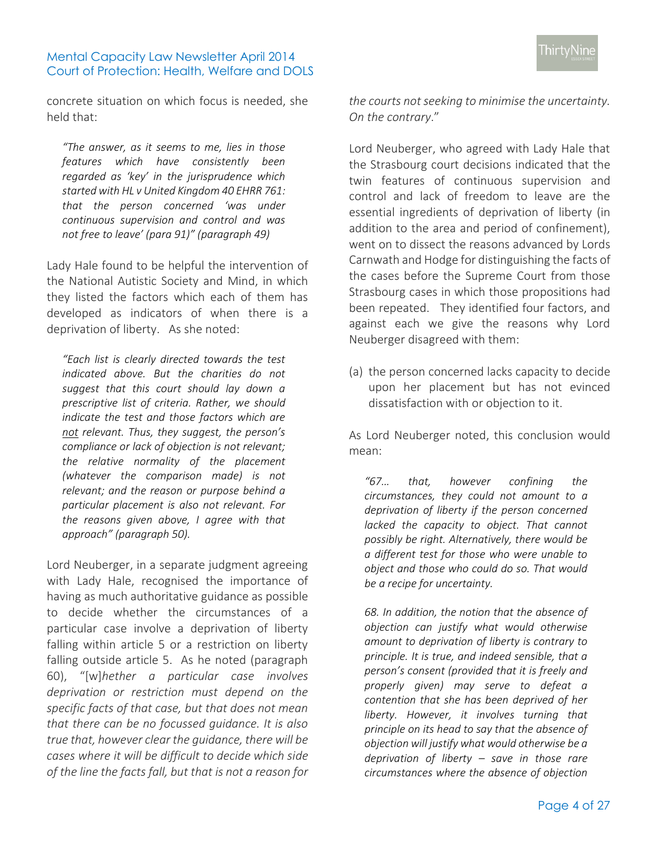concrete situation on which focus is needed, she held that:

*"The answer, as it seems to me, lies in those features which have consistently been regarded as 'key' in the jurisprudence which started with HL v United Kingdom 40 EHRR 761: that the person concerned 'was under continuous supervision and control and was not free to leave' (para 91)" (paragraph 49)*

Lady Hale found to be helpful the intervention of the National Autistic Society and Mind, in which they listed the factors which each of them has developed as indicators of when there is a deprivation of liberty. As she noted:

*"Each list is clearly directed towards the test indicated above. But the charities do not suggest that this court should lay down a prescriptive list of criteria. Rather, we should indicate the test and those factors which are not relevant. Thus, they suggest, the person's compliance or lack of objection is not relevant; the relative normality of the placement (whatever the comparison made) is not relevant; and the reason or purpose behind a particular placement is also not relevant. For the reasons given above, I agree with that approach" (paragraph 50).* 

Lord Neuberger, in a separate judgment agreeing with Lady Hale, recognised the importance of having as much authoritative guidance as possible to decide whether the circumstances of a particular case involve a deprivation of liberty falling within article 5 or a restriction on liberty falling outside article 5. As he noted (paragraph 60), "[w]*hether a particular case involves deprivation or restriction must depend on the specific facts of that case, but that does not mean that there can be no focussed guidance. It is also true that, however clear the guidance, there will be cases where it will be difficult to decide which side of the line the facts fall, but that is not a reason for* 

*the courts not seeking to minimise the uncertainty. On the contrary*."

Lord Neuberger, who agreed with Lady Hale that the Strasbourg court decisions indicated that the twin features of continuous supervision and control and lack of freedom to leave are the essential ingredients of deprivation of liberty (in addition to the area and period of confinement), went on to dissect the reasons advanced by Lords Carnwath and Hodge for distinguishing the facts of the cases before the Supreme Court from those Strasbourg cases in which those propositions had been repeated. They identified four factors, and against each we give the reasons why Lord Neuberger disagreed with them:

(a) the person concerned lacks capacity to decide upon her placement but has not evinced dissatisfaction with or objection to it.

As Lord Neuberger noted, this conclusion would mean:

*"67… that, however confining the circumstances, they could not amount to a deprivation of liberty if the person concerned lacked the capacity to object. That cannot possibly be right. Alternatively, there would be a different test for those who were unable to object and those who could do so. That would be a recipe for uncertainty.*

*68. In addition, the notion that the absence of objection can justify what would otherwise amount to deprivation of liberty is contrary to principle. It is true, and indeed sensible, that a person's consent (provided that it is freely and properly given) may serve to defeat a contention that she has been deprived of her liberty. However, it involves turning that principle on its head to say that the absence of objection will justify what would otherwise be a deprivation of liberty – save in those rare circumstances where the absence of objection*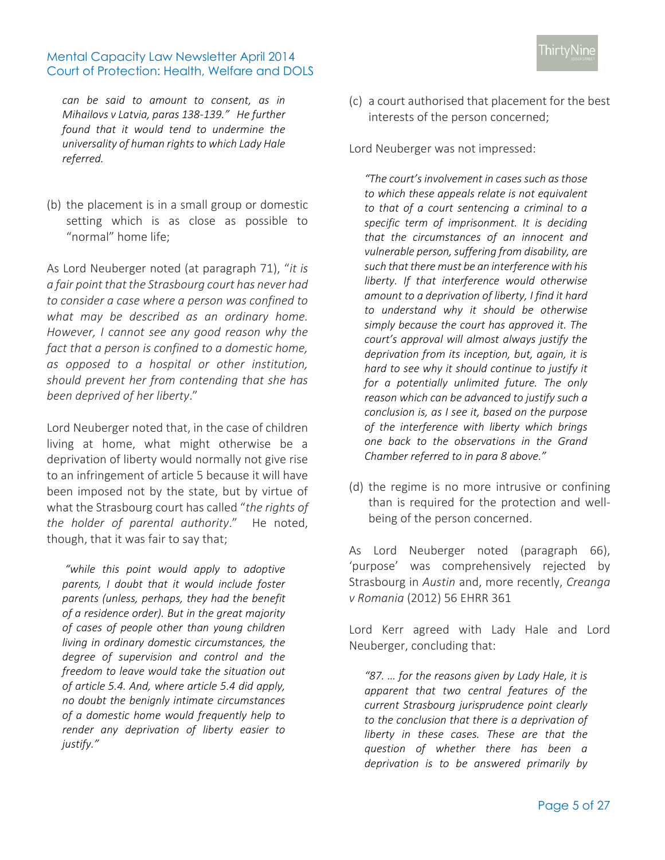*can be said to amount to consent, as in Mihailovs v Latvia, paras 138-139." He further found that it would tend to undermine the universality of human rights to which Lady Hale referred.* 

(b) the placement is in a small group or domestic setting which is as close as possible to "normal" home life;

As Lord Neuberger noted (at paragraph 71), "*it is a fair point that the Strasbourg court has never had to consider a case where a person was confined to what may be described as an ordinary home. However, I cannot see any good reason why the fact that a person is confined to a domestic home, as opposed to a hospital or other institution, should prevent her from contending that she has been deprived of her liberty*."

Lord Neuberger noted that, in the case of children living at home, what might otherwise be a deprivation of liberty would normally not give rise to an infringement of article 5 because it will have been imposed not by the state, but by virtue of what the Strasbourg court has called "*the rights of the holder of parental authority*." He noted, though, that it was fair to say that;

*"while this point would apply to adoptive parents, I doubt that it would include foster parents (unless, perhaps, they had the benefit of a residence order). But in the great majority of cases of people other than young children living in ordinary domestic circumstances, the degree of supervision and control and the freedom to leave would take the situation out of article 5.4. And, where article 5.4 did apply, no doubt the benignly intimate circumstances of a domestic home would frequently help to render any deprivation of liberty easier to justify."*

(c) a court authorised that placement for the best interests of the person concerned;

Lord Neuberger was not impressed:

*"The court's involvement in cases such as those to which these appeals relate is not equivalent to that of a court sentencing a criminal to a specific term of imprisonment. It is deciding that the circumstances of an innocent and vulnerable person, suffering from disability, are such that there must be an interference with his liberty. If that interference would otherwise amount to a deprivation of liberty, I find it hard to understand why it should be otherwise simply because the court has approved it. The court's approval will almost always justify the deprivation from its inception, but, again, it is hard to see why it should continue to justify it for a potentially unlimited future. The only reason which can be advanced to justify such a conclusion is, as I see it, based on the purpose of the interference with liberty which brings one back to the observations in the Grand Chamber referred to in para 8 above."*

(d) the regime is no more intrusive or confining than is required for the protection and wellbeing of the person concerned.

As Lord Neuberger noted (paragraph 66), 'purpose' was comprehensively rejected by Strasbourg in *Austin* and, more recently, *Creanga v Romania* (2012) 56 EHRR 361

Lord Kerr agreed with Lady Hale and Lord Neuberger, concluding that:

*"87. … for the reasons given by Lady Hale, it is apparent that two central features of the current Strasbourg jurisprudence point clearly to the conclusion that there is a deprivation of liberty in these cases. These are that the question of whether there has been a deprivation is to be answered primarily by*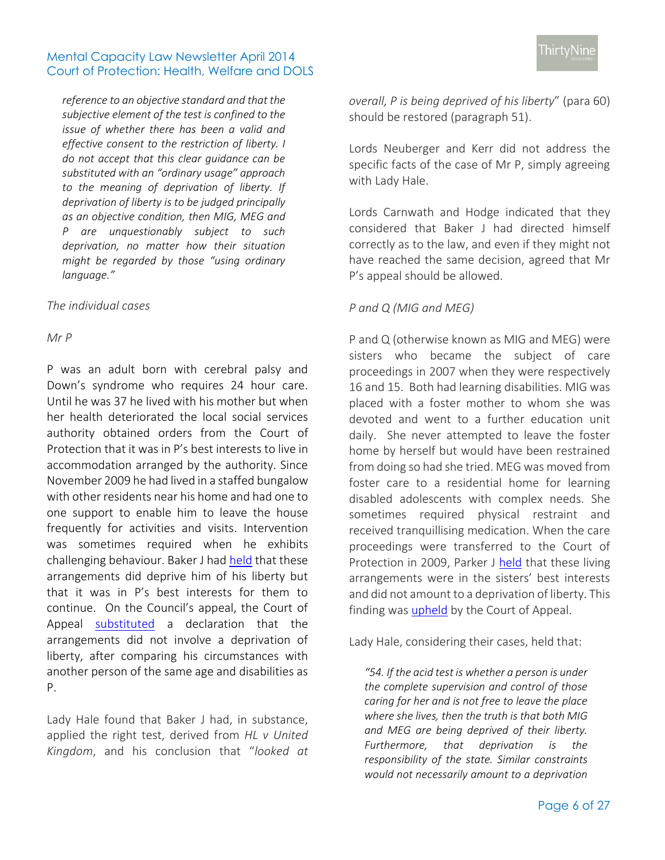*reference to an objective standard and that the subjective element of the test is confined to the issue of whether there has been a valid and effective consent to the restriction of liberty. I do not accept that this clear guidance can be substituted with an "ordinary usage" approach to the meaning of deprivation of liberty. If deprivation of liberty is to be judged principally as an objective condition, then MIG, MEG and P are unquestionably subject to such deprivation, no matter how their situation might be regarded by those "using ordinary language."*

#### *The individual cases*

#### *Mr P*

P was an adult born with cerebral palsy and Down's syndrome who requires 24 hour care. Until he was 37 he lived with his mother but when her health deteriorated the local social services authority obtained orders from the Court of Protection that it was in P's best interests to live in accommodation arranged by the authority. Since November 2009 he had lived in a staffed bungalow with other residents near his home and had one to one support to enable him to leave the house frequently for activities and visits. Intervention was sometimes required when he exhibits challenging behaviour. Baker J had [held](http://www.39essex.com/court_of_protection/search.php?id=2867) that these arrangements did deprive him of his liberty but that it was in P's best interests for them to continue. On the Council's appeal, the Court of Appeal [substituted](http://www.39essex.com/court_of_protection/search.php?id=2847) a declaration that the arrangements did not involve a deprivation of liberty, after comparing his circumstances with another person of the same age and disabilities as P.

Lady Hale found that Baker J had, in substance, applied the right test, derived from *HL v United Kingdom*, and his conclusion that "*looked at* 

*overall, P is being deprived of his liberty*" (para 60) should be restored (paragraph 51).

Lords Neuberger and Kerr did not address the specific facts of the case of Mr P, simply agreeing with Lady Hale.

Lords Carnwath and Hodge indicated that they considered that Baker J had directed himself correctly as to the law, and even if they might not have reached the same decision, agreed that Mr P's appeal should be allowed.

### *P and Q (MIG and MEG)*

P and Q (otherwise known as MIG and MEG) were sisters who became the subject of care proceedings in 2007 when they were respectively 16 and 15. Both had learning disabilities. MIG was placed with a foster mother to whom she was devoted and went to a further education unit daily. She never attempted to leave the foster home by herself but would have been restrained from doing so had she tried. MEG was moved from foster care to a residential home for learning disabled adolescents with complex needs. She sometimes required physical restraint and received tranquillising medication. When the care proceedings were transferred to the Court of Protection in 2009, Parker J [held](http://www.39essex.com/court_of_protection/search.php?id=2847) that these living arrangements were in the sisters' best interests and did not amount to a deprivation of liberty. This finding wa[s upheld](http://www.39essex.com/court_of_protection/search.php?id=2843) by the Court of Appeal.

Lady Hale, considering their cases, held that:

*"54. If the acid test is whether a person is under the complete supervision and control of those caring for her and is not free to leave the place where she lives, then the truth is that both MIG and MEG are being deprived of their liberty. Furthermore, that deprivation is the responsibility of the state. Similar constraints would not necessarily amount to a deprivation*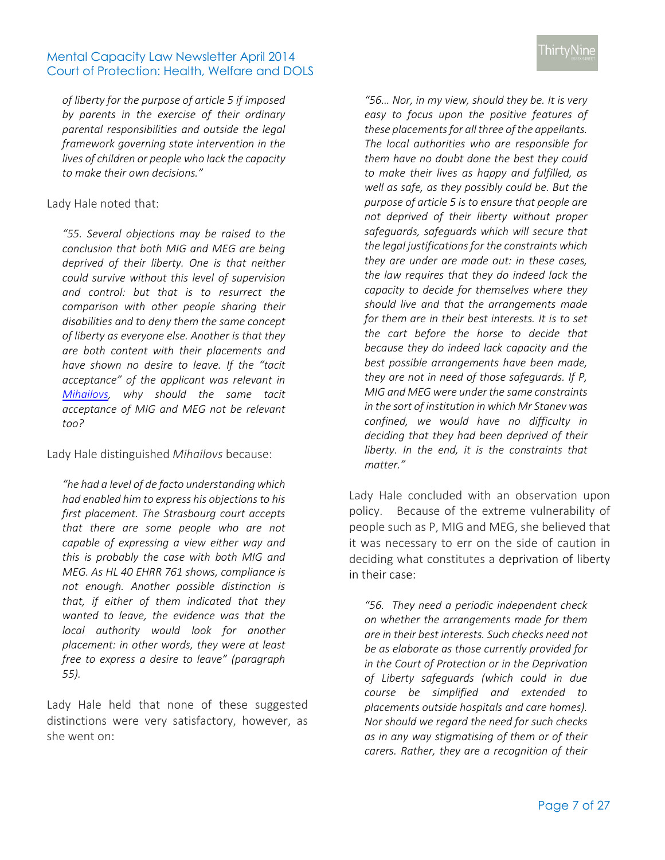*of liberty for the purpose of article 5 if imposed by parents in the exercise of their ordinary parental responsibilities and outside the legal framework governing state intervention in the lives of children or people who lack the capacity to make their own decisions."*

#### Lady Hale noted that:

*"55. Several objections may be raised to the conclusion that both MIG and MEG are being deprived of their liberty. One is that neither could survive without this level of supervision and control: but that is to resurrect the comparison with other people sharing their disabilities and to deny them the same concept of liberty as everyone else. Another is that they are both content with their placements and have shown no desire to leave. If the "tacit acceptance" of the applicant was relevant in [Mihailovs,](http://www.39essex.com/court_of_protection/search.php?id=3129) why should the same tacit acceptance of MIG and MEG not be relevant too?*

Lady Hale distinguished *Mihailovs* because:

*"he had a level of de facto understanding which had enabled him to express his objections to his first placement. The Strasbourg court accepts that there are some people who are not capable of expressing a view either way and this is probably the case with both MIG and MEG. As HL 40 EHRR 761 shows, compliance is not enough. Another possible distinction is that, if either of them indicated that they wanted to leave, the evidence was that the local authority would look for another placement: in other words, they were at least free to express a desire to leave" (paragraph 55).* 

Lady Hale held that none of these suggested distinctions were very satisfactory, however, as she went on:

*"56… Nor, in my view, should they be. It is very easy to focus upon the positive features of these placements for all three of the appellants. The local authorities who are responsible for them have no doubt done the best they could to make their lives as happy and fulfilled, as well as safe, as they possibly could be. But the purpose of article 5 is to ensure that people are not deprived of their liberty without proper safeguards, safeguards which will secure that the legal justifications for the constraints which they are under are made out: in these cases, the law requires that they do indeed lack the capacity to decide for themselves where they should live and that the arrangements made for them are in their best interests. It is to set the cart before the horse to decide that because they do indeed lack capacity and the best possible arrangements have been made, they are not in need of those safeguards. If P, MIG and MEG were under the same constraints in the sort of institution in which Mr Stanev was confined, we would have no difficulty in deciding that they had been deprived of their liberty. In the end, it is the constraints that matter."*

Lady Hale concluded with an observation upon policy. Because of the extreme vulnerability of people such as P, MIG and MEG, she believed that it was necessary to err on the side of caution in deciding what constitutes a deprivation of liberty in their case:

*"56. They need a periodic independent check on whether the arrangements made for them are in their best interests. Such checks need not be as elaborate as those currently provided for in the Court of Protection or in the Deprivation of Liberty safeguards (which could in due course be simplified and extended to placements outside hospitals and care homes). Nor should we regard the need for such checks as in any way stigmatising of them or of their carers. Rather, they are a recognition of their*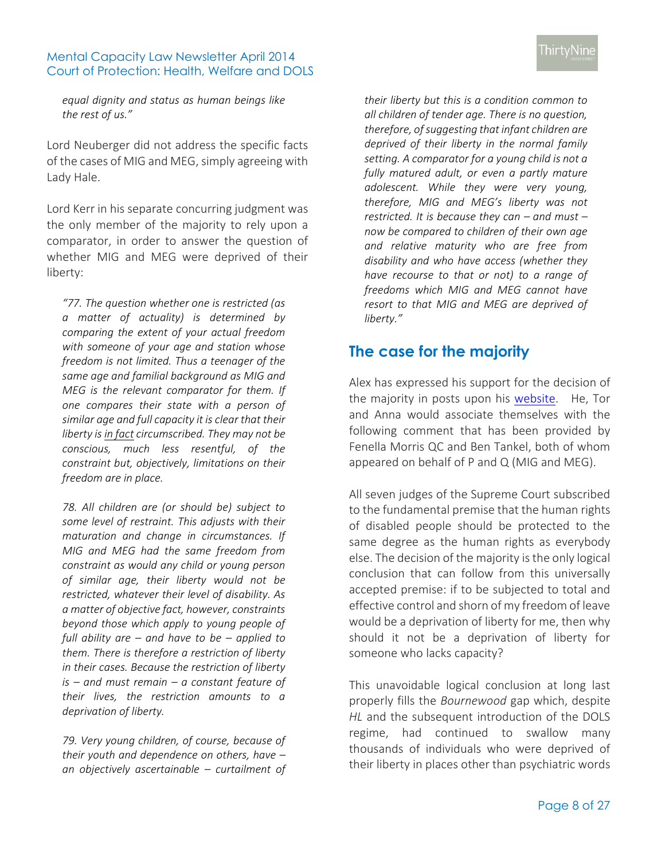*equal dignity and status as human beings like the rest of us."*

Lord Neuberger did not address the specific facts of the cases of MIG and MEG, simply agreeing with Lady Hale.

Lord Kerr in his separate concurring judgment was the only member of the majority to rely upon a comparator, in order to answer the question of whether MIG and MEG were deprived of their liberty:

*"77. The question whether one is restricted (as a matter of actuality) is determined by comparing the extent of your actual freedom with someone of your age and station whose freedom is not limited. Thus a teenager of the same age and familial background as MIG and MEG is the relevant comparator for them. If one compares their state with a person of similar age and full capacity it is clear that their liberty is in fact circumscribed. They may not be conscious, much less resentful, of the constraint but, objectively, limitations on their freedom are in place.* 

*78. All children are (or should be) subject to some level of restraint. This adjusts with their maturation and change in circumstances. If MIG and MEG had the same freedom from constraint as would any child or young person of similar age, their liberty would not be restricted, whatever their level of disability. As a matter of objective fact, however, constraints beyond those which apply to young people of full ability are – and have to be – applied to them. There is therefore a restriction of liberty in their cases. Because the restriction of liberty is – and must remain – a constant feature of their lives, the restriction amounts to a deprivation of liberty.*

*79. Very young children, of course, because of their youth and dependence on others, have – an objectively ascertainable – curtailment of* 

*their liberty but this is a condition common to all children of tender age. There is no question, therefore, of suggesting that infant children are deprived of their liberty in the normal family setting. A comparator for a young child is not a fully matured adult, or even a partly mature adolescent. While they were very young, therefore, MIG and MEG's liberty was not restricted. It is because they can – and must – now be compared to children of their own age and relative maturity who are free from disability and who have access (whether they have recourse to that or not) to a range of freedoms which MIG and MEG cannot have resort to that MIG and MEG are deprived of liberty."*

## <span id="page-7-0"></span>**The case for the majority**

Alex has expressed his support for the decision of the majority in posts upon his [website.](http://www.mentalcapacitylawandpolicy.org.uk/) He, Tor and Anna would associate themselves with the following comment that has been provided by Fenella Morris QC and Ben Tankel, both of whom appeared on behalf of P and Q (MIG and MEG).

All seven judges of the Supreme Court subscribed to the fundamental premise that the human rights of disabled people should be protected to the same degree as the human rights as everybody else. The decision of the majority is the only logical conclusion that can follow from this universally accepted premise: if to be subjected to total and effective control and shorn of my freedom of leave would be a deprivation of liberty for me, then why should it not be a deprivation of liberty for someone who lacks capacity?

This unavoidable logical conclusion at long last properly fills the *Bournewood* gap which, despite *HL* and the subsequent introduction of the DOLS regime, had continued to swallow many thousands of individuals who were deprived of their liberty in places other than psychiatric words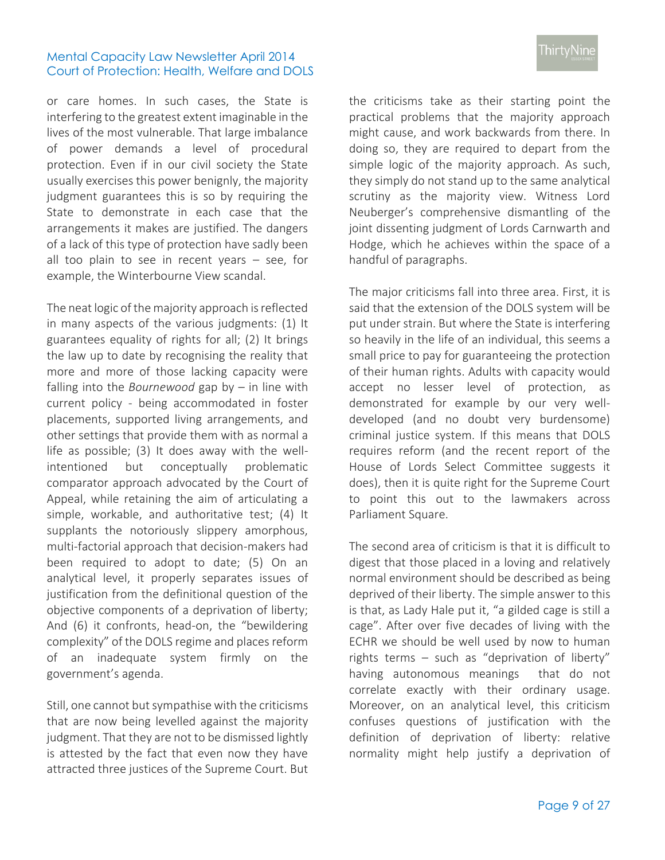or care homes. In such cases, the State is interfering to the greatest extent imaginable in the lives of the most vulnerable. That large imbalance of power demands a level of procedural protection. Even if in our civil society the State usually exercises this power benignly, the majority judgment guarantees this is so by requiring the State to demonstrate in each case that the arrangements it makes are justified. The dangers of a lack of this type of protection have sadly been all too plain to see in recent years – see, for example, the Winterbourne View scandal.

The neat logic of the majority approach is reflected in many aspects of the various judgments: (1) It guarantees equality of rights for all; (2) It brings the law up to date by recognising the reality that more and more of those lacking capacity were falling into the *Bournewood* gap by – in line with current policy - being accommodated in foster placements, supported living arrangements, and other settings that provide them with as normal a life as possible; (3) It does away with the wellintentioned but conceptually problematic comparator approach advocated by the Court of Appeal, while retaining the aim of articulating a simple, workable, and authoritative test; (4) It supplants the notoriously slippery amorphous, multi-factorial approach that decision-makers had been required to adopt to date; (5) On an analytical level, it properly separates issues of justification from the definitional question of the objective components of a deprivation of liberty; And (6) it confronts, head-on, the "bewildering complexity" of the DOLS regime and places reform of an inadequate system firmly on the government's agenda.

Still, one cannot but sympathise with the criticisms that are now being levelled against the majority judgment. That they are not to be dismissed lightly is attested by the fact that even now they have attracted three justices of the Supreme Court. But

the criticisms take as their starting point the practical problems that the majority approach might cause, and work backwards from there. In doing so, they are required to depart from the simple logic of the majority approach. As such, they simply do not stand up to the same analytical scrutiny as the majority view. Witness Lord Neuberger's comprehensive dismantling of the joint dissenting judgment of Lords Carnwarth and Hodge, which he achieves within the space of a handful of paragraphs.

The major criticisms fall into three area. First, it is said that the extension of the DOLS system will be put under strain. But where the State is interfering so heavily in the life of an individual, this seems a small price to pay for guaranteeing the protection of their human rights. Adults with capacity would accept no lesser level of protection, as demonstrated for example by our very welldeveloped (and no doubt very burdensome) criminal justice system. If this means that DOLS requires reform (and the recent report of the House of Lords Select Committee suggests it does), then it is quite right for the Supreme Court to point this out to the lawmakers across Parliament Square.

The second area of criticism is that it is difficult to digest that those placed in a loving and relatively normal environment should be described as being deprived of their liberty. The simple answer to this is that, as Lady Hale put it, "a gilded cage is still a cage". After over five decades of living with the ECHR we should be well used by now to human rights terms – such as "deprivation of liberty" having autonomous meanings that do not correlate exactly with their ordinary usage. Moreover, on an analytical level, this criticism confuses questions of justification with the definition of deprivation of liberty: relative normality might help justify a deprivation of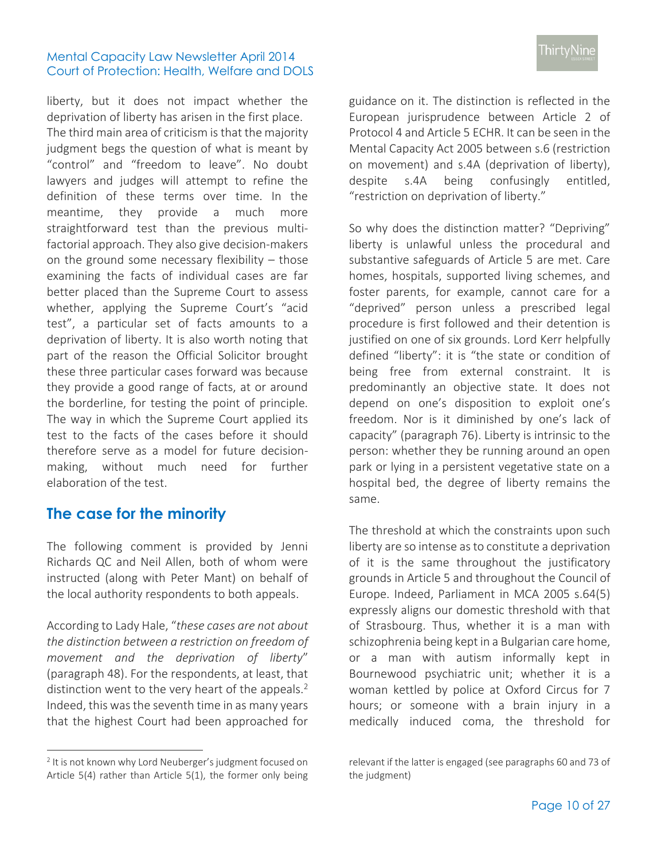liberty, but it does not impact whether the deprivation of liberty has arisen in the first place. The third main area of criticism is that the majority judgment begs the question of what is meant by "control" and "freedom to leave". No doubt lawyers and judges will attempt to refine the definition of these terms over time. In the meantime, they provide a much more straightforward test than the previous multifactorial approach. They also give decision-makers on the ground some necessary flexibility – those examining the facts of individual cases are far better placed than the Supreme Court to assess whether, applying the Supreme Court's "acid test", a particular set of facts amounts to a deprivation of liberty. It is also worth noting that part of the reason the Official Solicitor brought these three particular cases forward was because they provide a good range of facts, at or around the borderline, for testing the point of principle. The way in which the Supreme Court applied its test to the facts of the cases before it should therefore serve as a model for future decisionmaking, without much need for further elaboration of the test.

## <span id="page-9-0"></span>**The case for the minority**

The following comment is provided by Jenni Richards QC and Neil Allen, both of whom were instructed (along with Peter Mant) on behalf of the local authority respondents to both appeals.

According to Lady Hale, "*these cases are not about the distinction between a restriction on freedom of movement and the deprivation of liberty*" (paragraph 48). For the respondents, at least, that distinction went to the very heart of the appeals.<sup>2</sup> Indeed, this was the seventh time in as many years that the highest Court had been approached for

 $\overline{a}$ 

guidance on it. The distinction is reflected in the European jurisprudence between Article 2 of Protocol 4 and Article 5 ECHR. It can be seen in the Mental Capacity Act 2005 between s.6 (restriction on movement) and s.4A (deprivation of liberty), despite s.4A being confusingly entitled, "restriction on deprivation of liberty."

So why does the distinction matter? "Depriving" liberty is unlawful unless the procedural and substantive safeguards of Article 5 are met. Care homes, hospitals, supported living schemes, and foster parents, for example, cannot care for a "deprived" person unless a prescribed legal procedure is first followed and their detention is justified on one of six grounds. Lord Kerr helpfully defined "liberty": it is "the state or condition of being free from external constraint. It is predominantly an objective state. It does not depend on one's disposition to exploit one's freedom. Nor is it diminished by one's lack of capacity" (paragraph 76). Liberty is intrinsic to the person: whether they be running around an open park or lying in a persistent vegetative state on a hospital bed, the degree of liberty remains the same.

The threshold at which the constraints upon such liberty are so intense as to constitute a deprivation of it is the same throughout the justificatory grounds in Article 5 and throughout the Council of Europe. Indeed, Parliament in MCA 2005 s.64(5) expressly aligns our domestic threshold with that of Strasbourg. Thus, whether it is a man with schizophrenia being kept in a Bulgarian care home, or a man with autism informally kept in Bournewood psychiatric unit; whether it is a woman kettled by police at Oxford Circus for 7 hours; or someone with a brain injury in a medically induced coma, the threshold for

<sup>&</sup>lt;sup>2</sup> It is not known why Lord Neuberger's judgment focused on Article 5(4) rather than Article 5(1), the former only being

relevant if the latter is engaged (see paragraphs 60 and 73 of the judgment)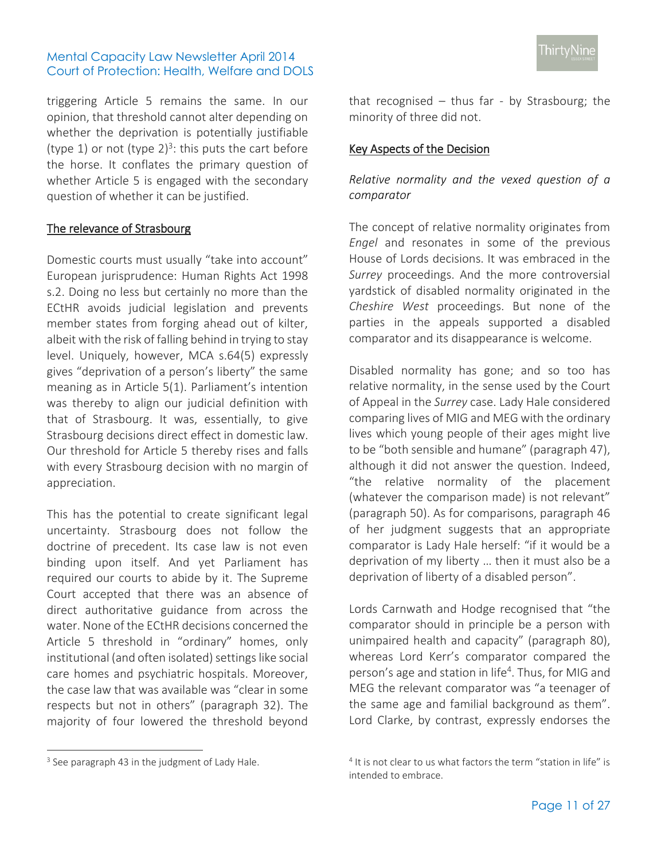triggering Article 5 remains the same. In our opinion, that threshold cannot alter depending on whether the deprivation is potentially justifiable (type 1) or not (type  $2)^3$ : this puts the cart before the horse. It conflates the primary question of whether Article 5 is engaged with the secondary question of whether it can be justified.

### The relevance of Strasbourg

Domestic courts must usually "take into account" European jurisprudence: Human Rights Act 1998 s.2. Doing no less but certainly no more than the ECtHR avoids judicial legislation and prevents member states from forging ahead out of kilter, albeit with the risk of falling behind in trying to stay level. Uniquely, however, MCA s.64(5) expressly gives "deprivation of a person's liberty" the same meaning as in Article 5(1). Parliament's intention was thereby to align our judicial definition with that of Strasbourg. It was, essentially, to give Strasbourg decisions direct effect in domestic law. Our threshold for Article 5 thereby rises and falls with every Strasbourg decision with no margin of appreciation.

This has the potential to create significant legal uncertainty. Strasbourg does not follow the doctrine of precedent. Its case law is not even binding upon itself. And yet Parliament has required our courts to abide by it. The Supreme Court accepted that there was an absence of direct authoritative guidance from across the water. None of the ECtHR decisions concerned the Article 5 threshold in "ordinary" homes, only institutional (and often isolated) settings like social care homes and psychiatric hospitals. Moreover, the case law that was available was "clear in some respects but not in others" (paragraph 32). The majority of four lowered the threshold beyond

 $\overline{a}$ 

that recognised – thus far - by Strasbourg; the minority of three did not.

## Key Aspects of the Decision

*Relative normality and the vexed question of a comparator*

The concept of relative normality originates from *Engel* and resonates in some of the previous House of Lords decisions. It was embraced in the *Surrey* proceedings. And the more controversial yardstick of disabled normality originated in the *Cheshire West* proceedings. But none of the parties in the appeals supported a disabled comparator and its disappearance is welcome.

Disabled normality has gone; and so too has relative normality, in the sense used by the Court of Appeal in the *Surrey* case. Lady Hale considered comparing lives of MIG and MEG with the ordinary lives which young people of their ages might live to be "both sensible and humane" (paragraph 47), although it did not answer the question. Indeed, "the relative normality of the placement (whatever the comparison made) is not relevant" (paragraph 50). As for comparisons, paragraph 46 of her judgment suggests that an appropriate comparator is Lady Hale herself: "if it would be a deprivation of my liberty … then it must also be a deprivation of liberty of a disabled person".

Lords Carnwath and Hodge recognised that "the comparator should in principle be a person with unimpaired health and capacity" (paragraph 80), whereas Lord Kerr's comparator compared the person's age and station in life<sup>4</sup>. Thus, for MIG and MEG the relevant comparator was "a teenager of the same age and familial background as them". Lord Clarke, by contrast, expressly endorses the

<sup>&</sup>lt;sup>3</sup> See paragraph 43 in the judgment of Lady Hale.

<sup>&</sup>lt;sup>4</sup> It is not clear to us what factors the term "station in life" is intended to embrace.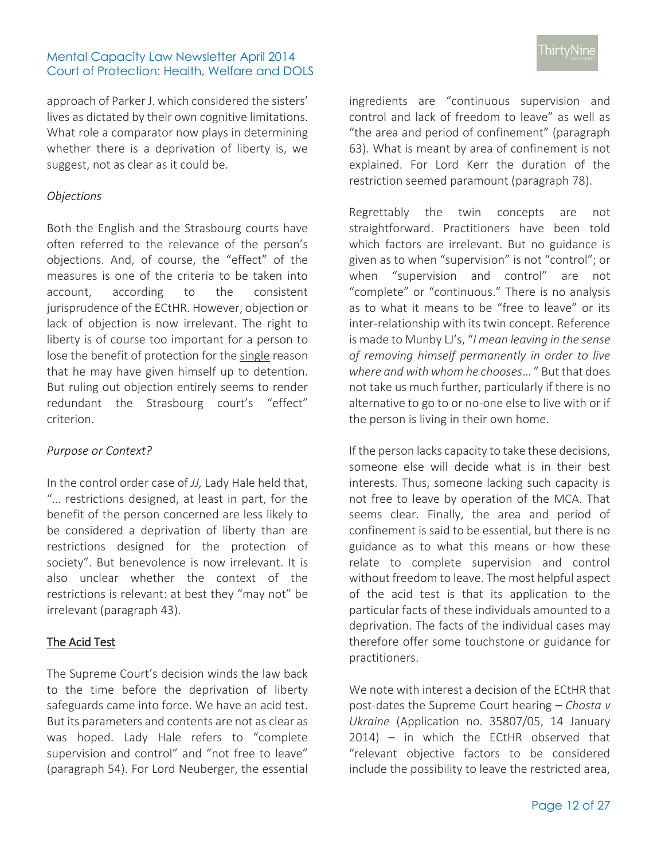approach of Parker J. which considered the sisters' lives as dictated by their own cognitive limitations. What role a comparator now plays in determining whether there is a deprivation of liberty is, we suggest, not as clear as it could be.

## *Objections*

Both the English and the Strasbourg courts have often referred to the relevance of the person's objections. And, of course, the "effect" of the measures is one of the criteria to be taken into account, according to the consistent jurisprudence of the ECtHR. However, objection or lack of objection is now irrelevant. The right to liberty is of course too important for a person to lose the benefit of protection for the single reason that he may have given himself up to detention. But ruling out objection entirely seems to render redundant the Strasbourg court's "effect" criterion.

## *Purpose or Context?*

In the control order case of *JJ,* Lady Hale held that, "… restrictions designed, at least in part, for the benefit of the person concerned are less likely to be considered a deprivation of liberty than are restrictions designed for the protection of society". But benevolence is now irrelevant. It is also unclear whether the context of the restrictions is relevant: at best they "may not" be irrelevant (paragraph 43).

## The Acid Test

The Supreme Court's decision winds the law back to the time before the deprivation of liberty safeguards came into force. We have an acid test. But its parameters and contents are not as clear as was hoped. Lady Hale refers to "complete supervision and control" and "not free to leave" (paragraph 54). For Lord Neuberger, the essential ingredients are "continuous supervision and control and lack of freedom to leave" as well as "the area and period of confinement" (paragraph 63). What is meant by area of confinement is not explained. For Lord Kerr the duration of the restriction seemed paramount (paragraph 78).

Regrettably the twin concepts are not straightforward. Practitioners have been told which factors are irrelevant. But no guidance is given as to when "supervision" is not "control"; or when "supervision and control" are not "complete" or "continuous." There is no analysis as to what it means to be "free to leave" or its inter-relationship with its twin concept. Reference is made to Munby LJ's, "*I mean leaving in the sense of removing himself permanently in order to live where and with whom he chooses*… " But that does not take us much further, particularly if there is no alternative to go to or no-one else to live with or if the person is living in their own home.

If the person lacks capacity to take these decisions, someone else will decide what is in their best interests. Thus, someone lacking such capacity is not free to leave by operation of the MCA. That seems clear. Finally, the area and period of confinement is said to be essential, but there is no guidance as to what this means or how these relate to complete supervision and control without freedom to leave. The most helpful aspect of the acid test is that its application to the particular facts of these individuals amounted to a deprivation. The facts of the individual cases may therefore offer some touchstone or guidance for practitioners.

We note with interest a decision of the ECtHR that post-dates the Supreme Court hearing – *Chosta v Ukraine* (Application no. 35807/05, 14 January 2014) – in which the ECtHR observed that "relevant objective factors to be considered include the possibility to leave the restricted area,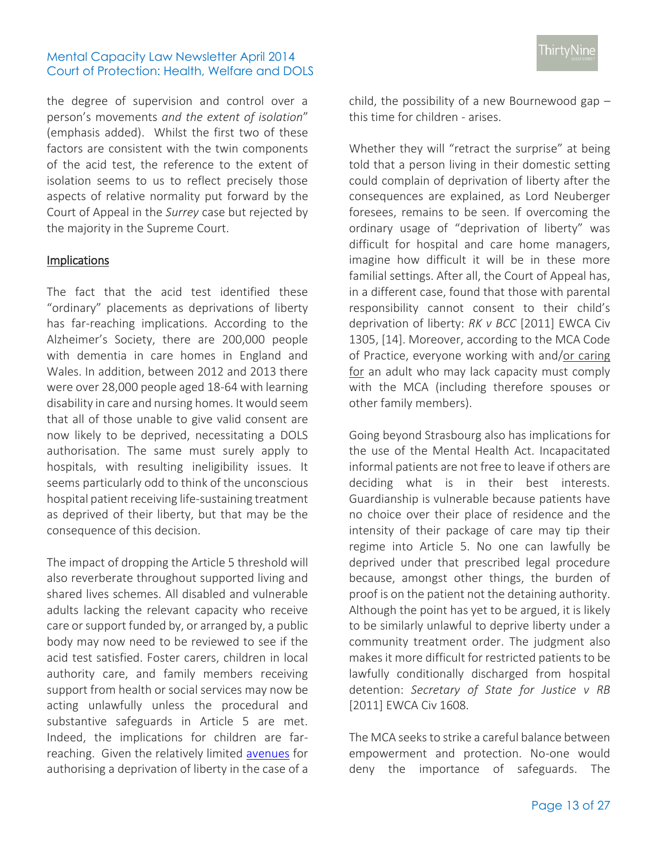the degree of supervision and control over a person's movements *and the extent of isolation*" (emphasis added). Whilst the first two of these factors are consistent with the twin components of the acid test, the reference to the extent of isolation seems to us to reflect precisely those aspects of relative normality put forward by the Court of Appeal in the *Surrey* case but rejected by the majority in the Supreme Court.

#### Implications

The fact that the acid test identified these "ordinary" placements as deprivations of liberty has far-reaching implications. According to the Alzheimer's Society, there are 200,000 people with dementia in care homes in England and Wales. In addition, between 2012 and 2013 there were over 28,000 people aged 18-64 with learning disability in care and nursing homes. It would seem that all of those unable to give valid consent are now likely to be deprived, necessitating a DOLS authorisation. The same must surely apply to hospitals, with resulting ineligibility issues. It seems particularly odd to think of the unconscious hospital patient receiving life-sustaining treatment as deprived of their liberty, but that may be the consequence of this decision.

The impact of dropping the Article 5 threshold will also reverberate throughout supported living and shared lives schemes. All disabled and vulnerable adults lacking the relevant capacity who receive care or support funded by, or arranged by, a public body may now need to be reviewed to see if the acid test satisfied. Foster carers, children in local authority care, and family members receiving support from health or social services may now be acting unlawfully unless the procedural and substantive safeguards in Article 5 are met. Indeed, the implications for children are farreaching. Given the relatively limited [avenues](http://www.ofsted.gov.uk/sites/default/files/documents/other-forms-and-guides/d/Deprivation%20of%20liberty%20-%20guidance%20for%20providers%20of%20children%E2%80%99s%20homes%20and%20residential%20special%20schools.pdf) for authorising a deprivation of liberty in the case of a child, the possibility of a new Bournewood gap – this time for children - arises.

Whether they will "retract the surprise" at being told that a person living in their domestic setting could complain of deprivation of liberty after the consequences are explained, as Lord Neuberger foresees, remains to be seen. If overcoming the ordinary usage of "deprivation of liberty" was difficult for hospital and care home managers, imagine how difficult it will be in these more familial settings. After all, the Court of Appeal has, in a different case, found that those with parental responsibility cannot consent to their child's deprivation of liberty: *RK v BCC* [2011] EWCA Civ 1305, [14]. Moreover, according to the MCA Code of Practice, everyone working with and/or caring for an adult who may lack capacity must comply with the MCA (including therefore spouses or other family members).

Going beyond Strasbourg also has implications for the use of the Mental Health Act. Incapacitated informal patients are not free to leave if others are deciding what is in their best interests. Guardianship is vulnerable because patients have no choice over their place of residence and the intensity of their package of care may tip their regime into Article 5. No one can lawfully be deprived under that prescribed legal procedure because, amongst other things, the burden of proof is on the patient not the detaining authority. Although the point has yet to be argued, it is likely to be similarly unlawful to deprive liberty under a community treatment order. The judgment also makes it more difficult for restricted patients to be lawfully conditionally discharged from hospital detention: *Secretary of State for Justice v RB* [2011] EWCA Civ 1608*.* 

The MCA seeks to strike a careful balance between empowerment and protection. No-one would deny the importance of safeguards. The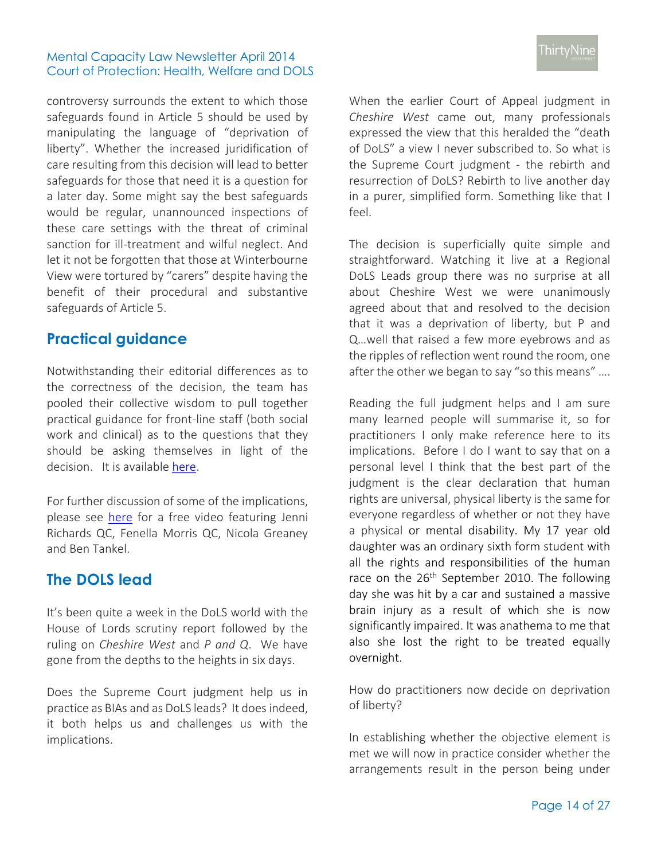controversy surrounds the extent to which those safeguards found in Article 5 should be used by manipulating the language of "deprivation of liberty". Whether the increased juridification of care resulting from this decision will lead to better safeguards for those that need it is a question for a later day. Some might say the best safeguards would be regular, unannounced inspections of these care settings with the threat of criminal sanction for ill-treatment and wilful neglect. And let it not be forgotten that those at Winterbourne View were tortured by "carers" despite having the benefit of their procedural and substantive safeguards of Article 5.

## <span id="page-13-0"></span>**Practical guidance**

Notwithstanding their editorial differences as to the correctness of the decision, the team has pooled their collective wisdom to pull together practical guidance for front-line staff (both social work and clinical) as to the questions that they should be asking themselves in light of the decision. It is available [here.](http://www.39essex.com/docs/newsletters/deprivation_of_liberty_after_cheshire_west_-_a_guide_for_front-line_staff.pdf)

For further discussion of some of the implications, please see [here](http://www.39essex.com/resources/news_listing.php?id=377) for a free video featuring Jenni Richards QC, Fenella Morris QC, Nicola Greaney and Ben Tankel.

## <span id="page-13-1"></span>**The DOLS lead**

It's been quite a week in the DoLS world with the House of Lords scrutiny report followed by the ruling on *Cheshire West* and *P and Q*. We have gone from the depths to the heights in six days.

Does the Supreme Court judgment help us in practice as BIAs and as DoLS leads? It does indeed, it both helps us and challenges us with the implications.

When the earlier Court of Appeal judgment in *Cheshire West* came out, many professionals expressed the view that this heralded the "death of DoLS" a view I never subscribed to. So what is the Supreme Court judgment - the rebirth and resurrection of DoLS? Rebirth to live another day in a purer, simplified form. Something like that I feel.

The decision is superficially quite simple and straightforward. Watching it live at a Regional DoLS Leads group there was no surprise at all about Cheshire West we were unanimously agreed about that and resolved to the decision that it was a deprivation of liberty, but P and Q…well that raised a few more eyebrows and as the ripples of reflection went round the room, one after the other we began to say "so this means" ….

Reading the full judgment helps and I am sure many learned people will summarise it, so for practitioners I only make reference here to its implications. Before I do I want to say that on a personal level I think that the best part of the judgment is the clear declaration that human rights are universal, physical liberty is the same for everyone regardless of whether or not they have a physical or mental disability. My 17 year old daughter was an ordinary sixth form student with all the rights and responsibilities of the human race on the  $26<sup>th</sup>$  September 2010. The following day she was hit by a car and sustained a massive brain injury as a result of which she is now significantly impaired. It was anathema to me that also she lost the right to be treated equally overnight.

How do practitioners now decide on deprivation of liberty?

In establishing whether the objective element is met we will now in practice consider whether the arrangements result in the person being under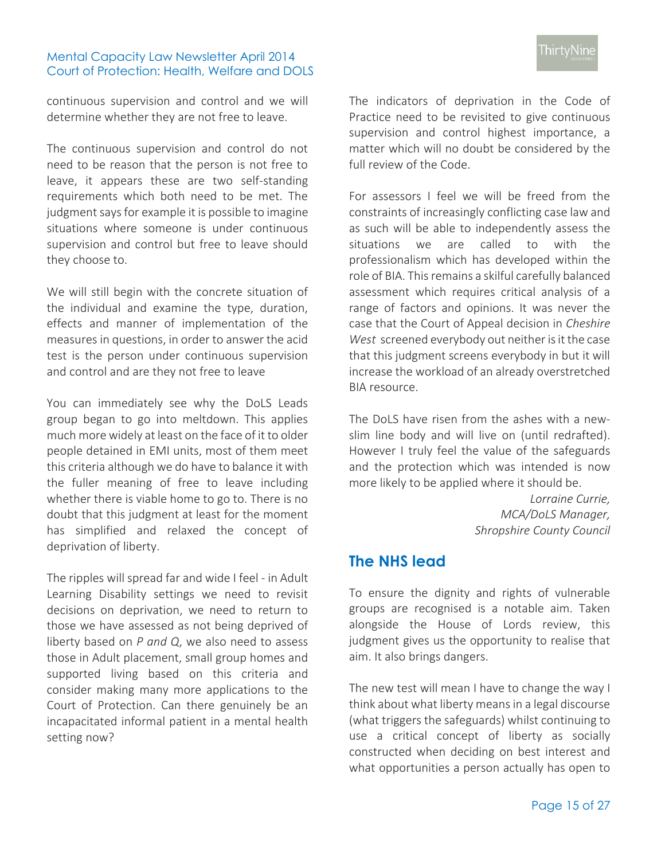continuous supervision and control and we will determine whether they are not free to leave.

The continuous supervision and control do not need to be reason that the person is not free to leave, it appears these are two self-standing requirements which both need to be met. The judgment says for example it is possible to imagine situations where someone is under continuous supervision and control but free to leave should they choose to.

We will still begin with the concrete situation of the individual and examine the type, duration, effects and manner of implementation of the measures in questions, in order to answer the acid test is the person under continuous supervision and control and are they not free to leave

You can immediately see why the DoLS Leads group began to go into meltdown. This applies much more widely at least on the face of it to older people detained in EMI units, most of them meet this criteria although we do have to balance it with the fuller meaning of free to leave including whether there is viable home to go to. There is no doubt that this judgment at least for the moment has simplified and relaxed the concept of deprivation of liberty.

The ripples will spread far and wide I feel - in Adult Learning Disability settings we need to revisit decisions on deprivation, we need to return to those we have assessed as not being deprived of liberty based on *P and Q*, we also need to assess those in Adult placement, small group homes and supported living based on this criteria and consider making many more applications to the Court of Protection. Can there genuinely be an incapacitated informal patient in a mental health setting now?

The indicators of deprivation in the Code of Practice need to be revisited to give continuous supervision and control highest importance, a matter which will no doubt be considered by the full review of the Code.

For assessors I feel we will be freed from the constraints of increasingly conflicting case law and as such will be able to independently assess the situations we are called to with the professionalism which has developed within the role of BIA. This remains a skilful carefully balanced assessment which requires critical analysis of a range of factors and opinions. It was never the case that the Court of Appeal decision in *Cheshire West* screened everybody out neither is it the case that this judgment screens everybody in but it will increase the workload of an already overstretched BIA resource.

The DoLS have risen from the ashes with a newslim line body and will live on (until redrafted). However I truly feel the value of the safeguards and the protection which was intended is now more likely to be applied where it should be.

> *Lorraine Currie, MCA/DoLS Manager, Shropshire County Council*

## <span id="page-14-0"></span>**The NHS lead**

To ensure the dignity and rights of vulnerable groups are recognised is a notable aim. Taken alongside the House of Lords review, this judgment gives us the opportunity to realise that aim. It also brings dangers.

The new test will mean I have to change the way I think about what liberty means in a legal discourse (what triggers the safeguards) whilst continuing to use a critical concept of liberty as socially constructed when deciding on best interest and what opportunities a person actually has open to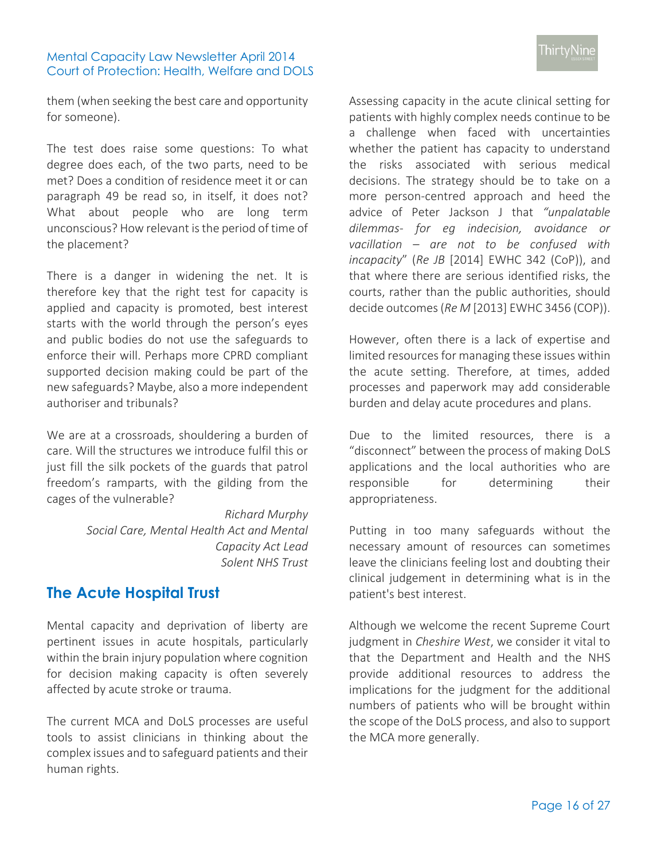them (when seeking the best care and opportunity for someone).

The test does raise some questions: To what degree does each, of the two parts, need to be met? Does a condition of residence meet it or can paragraph 49 be read so, in itself, it does not? What about people who are long term unconscious? How relevant is the period of time of the placement?

There is a danger in widening the net. It is therefore key that the right test for capacity is applied and capacity is promoted, best interest starts with the world through the person's eyes and public bodies do not use the safeguards to enforce their will. Perhaps more CPRD compliant supported decision making could be part of the new safeguards? Maybe, also a more independent authoriser and tribunals?

We are at a crossroads, shouldering a burden of care. Will the structures we introduce fulfil this or just fill the silk pockets of the guards that patrol freedom's ramparts, with the gilding from the cages of the vulnerable?

> *Richard Murphy Social Care, Mental Health Act and Mental Capacity Act Lead Solent NHS Trust*

## **The Acute Hospital Trust**

Mental capacity and deprivation of liberty are pertinent issues in acute hospitals, particularly within the brain injury population where cognition for decision making capacity is often severely affected by acute stroke or trauma.

The current MCA and DoLS processes are useful tools to assist clinicians in thinking about the complex issues and to safeguard patients and their human rights.

Assessing capacity in the acute clinical setting for patients with highly complex needs continue to be a challenge when faced with uncertainties whether the patient has capacity to understand the risks associated with serious medical decisions. The strategy should be to take on a more person-centred approach and heed the advice of Peter Jackson J that *"unpalatable dilemmas- for eg indecision, avoidance or vacillation – are not to be confused with incapacity*" (*Re JB* [2014] EWHC 342 (CoP)), and that where there are serious identified risks, the courts, rather than the public authorities, should decide outcomes (*Re M* [2013] EWHC 3456 (COP)).

However, often there is a lack of expertise and limited resources for managing these issues within the acute setting. Therefore, at times, added processes and paperwork may add considerable burden and delay acute procedures and plans.

Due to the limited resources, there is a "disconnect" between the process of making DoLS applications and the local authorities who are responsible for determining their appropriateness.

Putting in too many safeguards without the necessary amount of resources can sometimes leave the clinicians feeling lost and doubting their clinical judgement in determining what is in the patient's best interest.

Although we welcome the recent Supreme Court judgment in *Cheshire West*, we consider it vital to that the Department and Health and the NHS provide additional resources to address the implications for the judgment for the additional numbers of patients who will be brought within the scope of the DoLS process, and also to support the MCA more generally.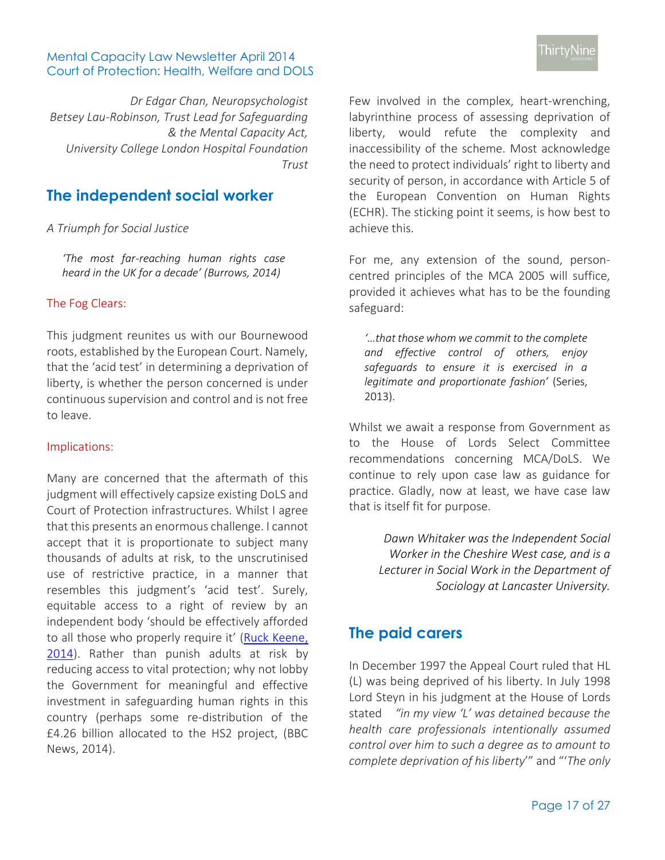*Dr Edgar Chan, Neuropsychologist Betsey Lau-Robinson, Trust Lead for Safeguarding & the Mental Capacity Act, University College London Hospital Foundation Trust*

## <span id="page-16-0"></span>**The independent social worker**

#### *A Triumph for Social Justice*

*'The most far-reaching human rights case heard in the UK for a decade' (Burrows, 2014)*

#### The Fog Clears:

This judgment reunites us with our Bournewood roots, established by the European Court. Namely, that the 'acid test' in determining a deprivation of liberty, is whether the person concerned is under continuous supervision and control and is not free to leave.

#### Implications:

Many are concerned that the aftermath of this judgment will effectively capsize existing DoLS and Court of Protection infrastructures. Whilst I agree that this presents an enormous challenge. I cannot accept that it is proportionate to subject many thousands of adults at risk, to the unscrutinised use of restrictive practice, in a manner that resembles this judgment's 'acid test'. Surely, equitable access to a right of review by an independent body 'should be effectively afforded to all those who properly require it' ([Ruck Keene,](http://www.mentalcapacitylawandpolicy.org.uk/?p=424)  [2014\)](http://www.mentalcapacitylawandpolicy.org.uk/?p=424). Rather than punish adults at risk by reducing access to vital protection; why not lobby the Government for meaningful and effective investment in safeguarding human rights in this country (perhaps some re-distribution of the £4.26 billion allocated to the HS2 project, (BBC News, 2014).

Few involved in the complex, heart-wrenching, labyrinthine process of assessing deprivation of liberty, would refute the complexity and inaccessibility of the scheme. Most acknowledge the need to protect individuals' right to liberty and security of person, in accordance with Article 5 of the European Convention on Human Rights (ECHR). The sticking point it seems, is how best to achieve this.

For me, any extension of the sound, personcentred principles of the MCA 2005 will suffice, provided it achieves what has to be the founding safeguard:

*'…that those whom we commit to the complete and effective control of others, enjoy safeguards to ensure it is exercised in a legitimate and proportionate fashion'* (Series, 2013).

Whilst we await a response from Government as to the House of Lords Select Committee recommendations concerning MCA/DoLS. We continue to rely upon case law as guidance for practice. Gladly, now at least, we have case law that is itself fit for purpose.

> *Dawn Whitaker was the Independent Social Worker in the Cheshire West case, and is a Lecturer in Social Work in the Department of Sociology at Lancaster University.*

## <span id="page-16-1"></span>**The paid carers**

In December 1997 the Appeal Court ruled that HL (L) was being deprived of his liberty. In July 1998 Lord Steyn in his judgment at the House of Lords stated *"in my view 'L' was detained because the health care professionals intentionally assumed control over him to such a degree as to amount to complete deprivation of his liberty*'" and "'*The only*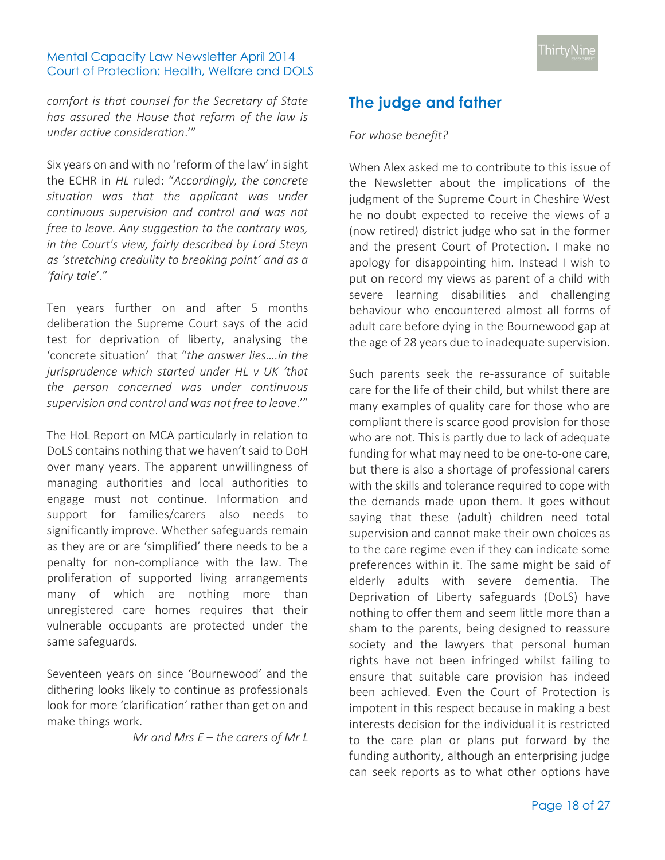*comfort is that counsel for the Secretary of State has assured the House that reform of the law is under active consideration*.'"

Six years on and with no 'reform of the law' in sight the ECHR in *HL* ruled: "*Accordingly, the concrete situation was that the applicant was under continuous supervision and control and was not free to leave. Any suggestion to the contrary was, in the Court's view, fairly described by Lord Steyn as 'stretching credulity to breaking point' and as a 'fairy tale*'."

Ten years further on and after 5 months deliberation the Supreme Court says of the acid test for deprivation of liberty, analysing the 'concrete situation' that "*the answer lies….in the jurisprudence which started under HL v UK 'that the person concerned was under continuous supervision and control and was not free to leave*.'"

The HoL Report on MCA particularly in relation to DoLS contains nothing that we haven't said to DoH over many years. The apparent unwillingness of managing authorities and local authorities to engage must not continue. Information and support for families/carers also needs to significantly improve. Whether safeguards remain as they are or are 'simplified' there needs to be a penalty for non-compliance with the law. The proliferation of supported living arrangements many of which are nothing more than unregistered care homes requires that their vulnerable occupants are protected under the same safeguards.

Seventeen years on since 'Bournewood' and the dithering looks likely to continue as professionals look for more 'clarification' rather than get on and make things work.

*Mr and Mrs E – the carers of Mr L*

## <span id="page-17-0"></span>**The judge and father**

#### *For whose benefit?*

When Alex asked me to contribute to this issue of the Newsletter about the implications of the judgment of the Supreme Court in Cheshire West he no doubt expected to receive the views of a (now retired) district judge who sat in the former and the present Court of Protection. I make no apology for disappointing him. Instead I wish to put on record my views as parent of a child with severe learning disabilities and challenging behaviour who encountered almost all forms of adult care before dying in the Bournewood gap at the age of 28 years due to inadequate supervision.

Such parents seek the re-assurance of suitable care for the life of their child, but whilst there are many examples of quality care for those who are compliant there is scarce good provision for those who are not. This is partly due to lack of adequate funding for what may need to be one-to-one care, but there is also a shortage of professional carers with the skills and tolerance required to cope with the demands made upon them. It goes without saying that these (adult) children need total supervision and cannot make their own choices as to the care regime even if they can indicate some preferences within it. The same might be said of elderly adults with severe dementia. The Deprivation of Liberty safeguards (DoLS) have nothing to offer them and seem little more than a sham to the parents, being designed to reassure society and the lawyers that personal human rights have not been infringed whilst failing to ensure that suitable care provision has indeed been achieved. Even the Court of Protection is impotent in this respect because in making a best interests decision for the individual it is restricted to the care plan or plans put forward by the funding authority, although an enterprising judge can seek reports as to what other options have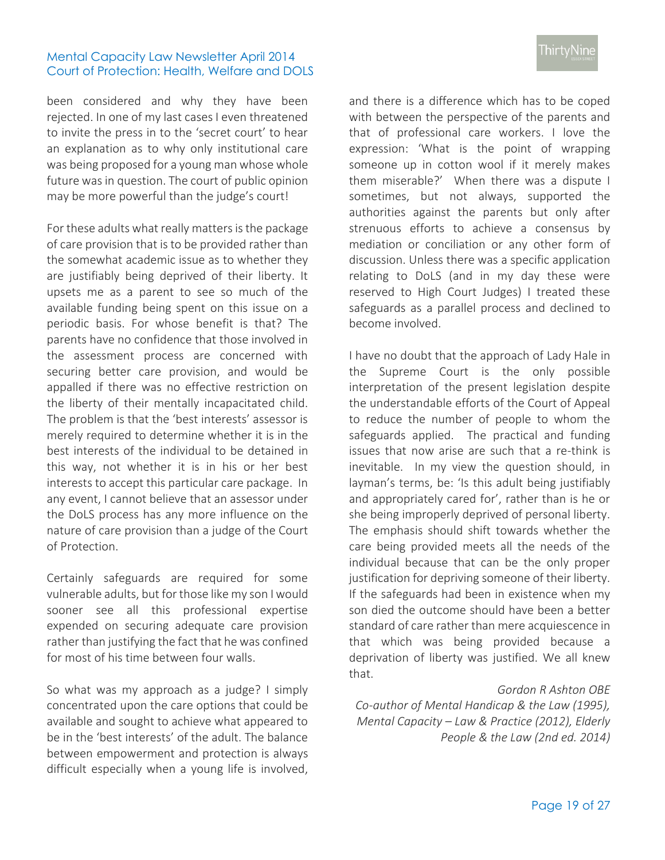been considered and why they have been rejected. In one of my last cases I even threatened to invite the press in to the 'secret court' to hear an explanation as to why only institutional care was being proposed for a young man whose whole future was in question. The court of public opinion may be more powerful than the judge's court!

For these adults what really matters is the package of care provision that is to be provided rather than the somewhat academic issue as to whether they are justifiably being deprived of their liberty. It upsets me as a parent to see so much of the available funding being spent on this issue on a periodic basis. For whose benefit is that? The parents have no confidence that those involved in the assessment process are concerned with securing better care provision, and would be appalled if there was no effective restriction on the liberty of their mentally incapacitated child. The problem is that the 'best interests' assessor is merely required to determine whether it is in the best interests of the individual to be detained in this way, not whether it is in his or her best interests to accept this particular care package. In any event, I cannot believe that an assessor under the DoLS process has any more influence on the nature of care provision than a judge of the Court of Protection.

Certainly safeguards are required for some vulnerable adults, but for those like my son I would sooner see all this professional expertise expended on securing adequate care provision rather than justifying the fact that he was confined for most of his time between four walls.

So what was my approach as a judge? I simply concentrated upon the care options that could be available and sought to achieve what appeared to be in the 'best interests' of the adult. The balance between empowerment and protection is always difficult especially when a young life is involved,

and there is a difference which has to be coped with between the perspective of the parents and that of professional care workers. I love the expression: 'What is the point of wrapping someone up in cotton wool if it merely makes them miserable?' When there was a dispute I sometimes, but not always, supported the authorities against the parents but only after strenuous efforts to achieve a consensus by mediation or conciliation or any other form of discussion. Unless there was a specific application relating to DoLS (and in my day these were reserved to High Court Judges) I treated these safeguards as a parallel process and declined to become involved.

I have no doubt that the approach of Lady Hale in the Supreme Court is the only possible interpretation of the present legislation despite the understandable efforts of the Court of Appeal to reduce the number of people to whom the safeguards applied. The practical and funding issues that now arise are such that a re-think is inevitable. In my view the question should, in layman's terms, be: 'Is this adult being justifiably and appropriately cared for', rather than is he or she being improperly deprived of personal liberty. The emphasis should shift towards whether the care being provided meets all the needs of the individual because that can be the only proper justification for depriving someone of their liberty. If the safeguards had been in existence when my son died the outcome should have been a better standard of care rather than mere acquiescence in that which was being provided because a deprivation of liberty was justified. We all knew that.

#### *Gordon R Ashton OBE*

*Co-author of Mental Handicap & the Law (1995), Mental Capacity – Law & Practice (2012), Elderly People & the Law (2nd ed. 2014)*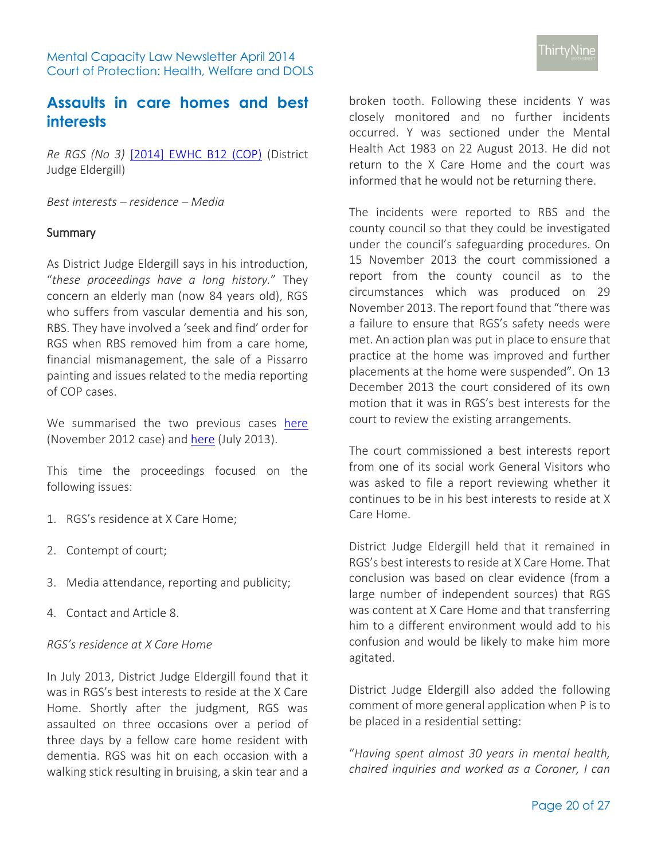## <span id="page-19-0"></span>**Assaults in care homes and best interests**

*Re RGS (No 3)* [\[2014\] EWHC B12 \(COP\)](http://www.bailii.org/cgibin/markup.cgi?doc=/ew/cases/EWHC/COP/2014/B12.html&query=title+(+re+)+and+title+(+RGS+)&method=boolean) (District Judge Eldergill)

*Best interests – residence – Media* 

### **Summary**

As District Judge Eldergill says in his introduction, "*these proceedings have a long history.*" They concern an elderly man (now 84 years old), RGS who suffers from vascular dementia and his son, RBS. They have involved a 'seek and find' order for RGS when RBS removed him from a care home, financial mismanagement, the sale of a Pissarro painting and issues related to the media reporting of COP cases.

We summarised the two previous cases [here](http://www.39essex.com/court_of_protection/search.php?id=3254) (November 2012 case) and [here](http://www.39essex.com/court_of_protection/search.php?id=3381) (July 2013).

This time the proceedings focused on the following issues:

- 1. RGS's residence at X Care Home;
- 2. Contempt of court;
- 3. Media attendance, reporting and publicity;
- 4. Contact and Article 8.

#### *RGS's residence at X Care Home*

In July 2013, District Judge Eldergill found that it was in RGS's best interests to reside at the X Care Home. Shortly after the judgment, RGS was assaulted on three occasions over a period of three days by a fellow care home resident with dementia. RGS was hit on each occasion with a walking stick resulting in bruising, a skin tear and a

broken tooth. Following these incidents Y was closely monitored and no further incidents occurred. Y was sectioned under the Mental Health Act 1983 on 22 August 2013. He did not return to the X Care Home and the court was informed that he would not be returning there.

The incidents were reported to RBS and the county council so that they could be investigated under the council's safeguarding procedures. On 15 November 2013 the court commissioned a report from the county council as to the circumstances which was produced on 29 November 2013. The report found that "there was a failure to ensure that RGS's safety needs were met. An action plan was put in place to ensure that practice at the home was improved and further placements at the home were suspended". On 13 December 2013 the court considered of its own motion that it was in RGS's best interests for the court to review the existing arrangements.

The court commissioned a best interests report from one of its social work General Visitors who was asked to file a report reviewing whether it continues to be in his best interests to reside at X Care Home.

District Judge Eldergill held that it remained in RGS's best interests to reside at X Care Home. That conclusion was based on clear evidence (from a large number of independent sources) that RGS was content at X Care Home and that transferring him to a different environment would add to his confusion and would be likely to make him more agitated.

District Judge Eldergill also added the following comment of more general application when P is to be placed in a residential setting:

"*Having spent almost 30 years in mental health, chaired inquiries and worked as a Coroner, I can*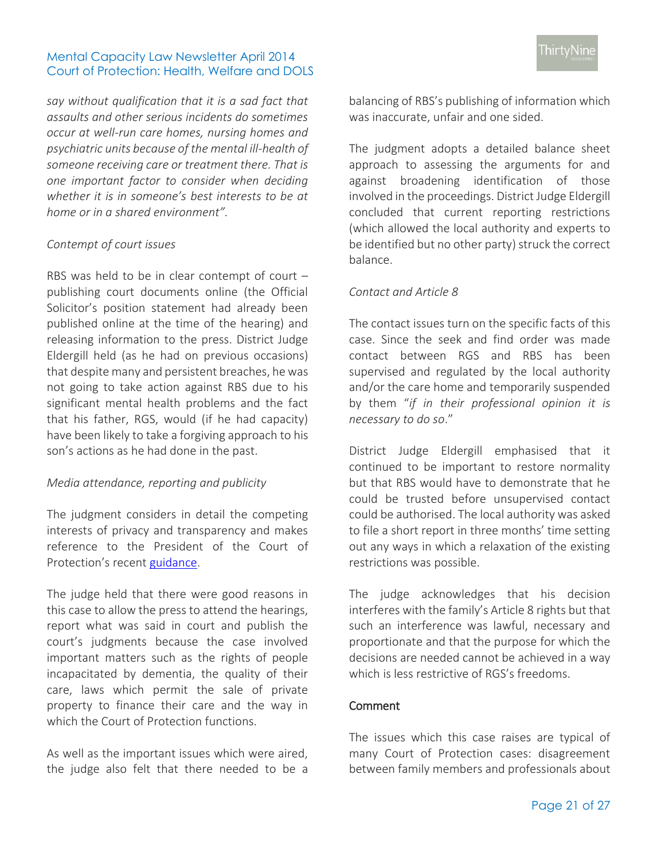*say without qualification that it is a sad fact that assaults and other serious incidents do sometimes occur at well-run care homes, nursing homes and psychiatric units because of the mental ill-health of someone receiving care or treatment there. That is one important factor to consider when deciding whether it is in someone's best interests to be at home or in a shared environment".*

#### *Contempt of court issues*

RBS was held to be in clear contempt of court – publishing court documents online (the Official Solicitor's position statement had already been published online at the time of the hearing) and releasing information to the press. District Judge Eldergill held (as he had on previous occasions) that despite many and persistent breaches, he was not going to take action against RBS due to his significant mental health problems and the fact that his father, RGS, would (if he had capacity) have been likely to take a forgiving approach to his son's actions as he had done in the past.

## *Media attendance, reporting and publicity*

The judgment considers in detail the competing interests of privacy and transparency and makes reference to the President of the Court of Protection's recent [guidance.](http://www.judiciary.gov.uk/Resources/JCO/Documents/Guidance/transparency-in-the-cop.pdf)

The judge held that there were good reasons in this case to allow the press to attend the hearings, report what was said in court and publish the court's judgments because the case involved important matters such as the rights of people incapacitated by dementia, the quality of their care, laws which permit the sale of private property to finance their care and the way in which the Court of Protection functions.

As well as the important issues which were aired, the judge also felt that there needed to be a balancing of RBS's publishing of information which was inaccurate, unfair and one sided.

The judgment adopts a detailed balance sheet approach to assessing the arguments for and against broadening identification of those involved in the proceedings. District Judge Eldergill concluded that current reporting restrictions (which allowed the local authority and experts to be identified but no other party) struck the correct balance.

## *Contact and Article 8*

The contact issues turn on the specific facts of this case. Since the seek and find order was made contact between RGS and RBS has been supervised and regulated by the local authority and/or the care home and temporarily suspended by them "*if in their professional opinion it is necessary to do so*."

District Judge Eldergill emphasised that it continued to be important to restore normality but that RBS would have to demonstrate that he could be trusted before unsupervised contact could be authorised. The local authority was asked to file a short report in three months' time setting out any ways in which a relaxation of the existing restrictions was possible.

The judge acknowledges that his decision interferes with the family's Article 8 rights but that such an interference was lawful, necessary and proportionate and that the purpose for which the decisions are needed cannot be achieved in a way which is less restrictive of RGS's freedoms.

## Comment

The issues which this case raises are typical of many Court of Protection cases: disagreement between family members and professionals about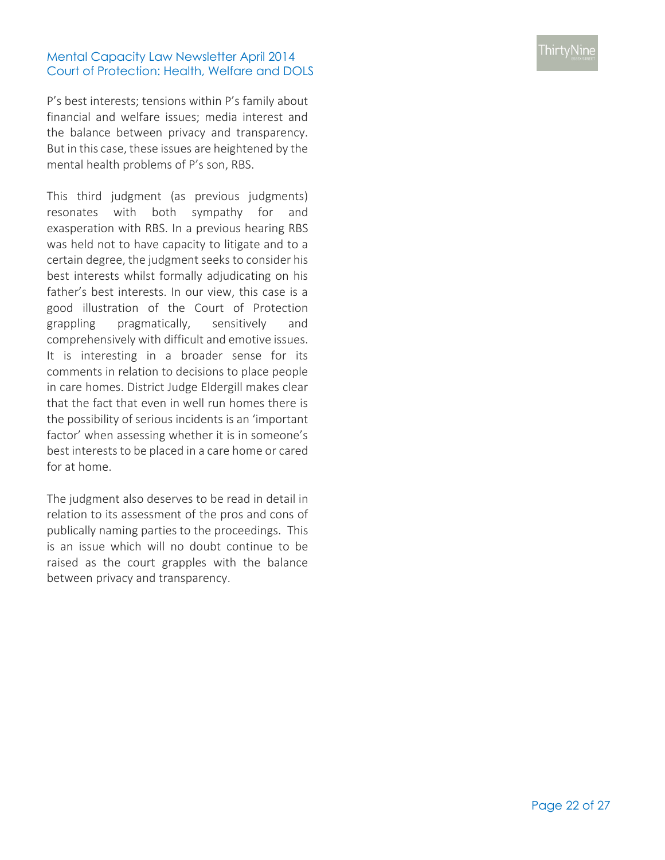P's best interests; tensions within P's family about financial and welfare issues; media interest and the balance between privacy and transparency. But in this case, these issues are heightened by the mental health problems of P's son, RBS.

This third judgment (as previous judgments) resonates with both sympathy for and exasperation with RBS. In a previous hearing RBS was held not to have capacity to litigate and to a certain degree, the judgment seeks to consider his best interests whilst formally adjudicating on his father's best interests. In our view, this case is a good illustration of the Court of Protection grappling pragmatically, sensitively and comprehensively with difficult and emotive issues. It is interesting in a broader sense for its comments in relation to decisions to place people in care homes. District Judge Eldergill makes clear that the fact that even in well run homes there is the possibility of serious incidents is an 'important factor' when assessing whether it is in someone's best interests to be placed in a care home or cared for at home.

The judgment also deserves to be read in detail in relation to its assessment of the pros and cons of publically naming parties to the proceedings. This is an issue which will no doubt continue to be raised as the court grapples with the balance between privacy and transparency.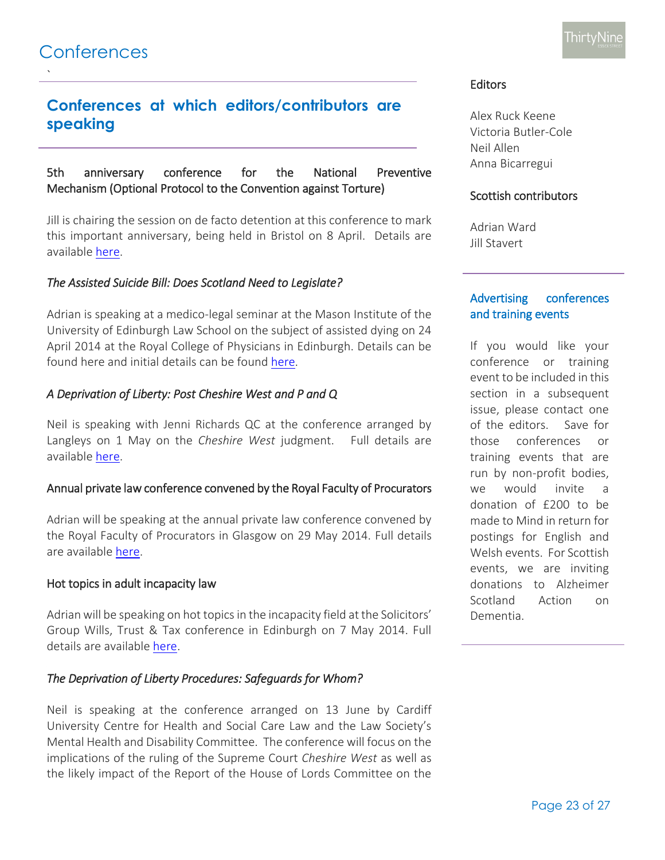<span id="page-22-0"></span>`

## **Conferences at which editors/contributors are speaking**

### 5th anniversary conference for the National Preventive Mechanism (Optional Protocol to the Convention against Torture)

Jill is chairing the session on de facto detention at this conference to mark this important anniversary, being held in Bristol on 8 April. Details are available [here.](http://www.bristol.ac.uk/policybristol/news/2014/106.html)

### *The Assisted Suicide Bill: Does Scotland Need to Legislate?*

Adrian is speaking at a medico-legal seminar at the Mason Institute of the University of Edinburgh Law School on the subject of assisted dying on 24 April 2014 at the Royal College of Physicians in Edinburgh. Details can be found here and initial details can be found [here.](http://masoninstitute.org/2014/02/13/the-assisted-suicide-bill-does-scotland-need-to-legislate-a-symposium-for-practitioners-april-24-2014/)

### *A Deprivation of Liberty: Post Cheshire West and P and Q*

Neil is speaking with Jenni Richards QC at the conference arranged by Langleys on 1 May on the *Cheshire West* judgment. Full details are available [here.](http://www.langleys.com/documents/langleys-rescheduled-p-q-seminar-invitation.aspx)

#### Annual private law conference convened by the Royal Faculty of Procurators

Adrian will be speaking at the annual private law conference convened by the Royal Faculty of Procurators in Glasgow on 29 May 2014. Full details are available [here.](http://www.rfpg.org/cpdevent:124)

#### Hot topics in adult incapacity law

Adrian will be speaking on hot topics in the incapacity field at the Solicitors' Group Wills, Trust & Tax conference in Edinburgh on 7 May 2014. Full details are available [here.](http://www.thesolicitorsgroup.co.uk/Downloads/Training/Brochures/Law2014-Edinburgh-RateCard.pdf)

#### *The Deprivation of Liberty Procedures: Safeguards for Whom?*

Neil is speaking at the conference arranged on 13 June by Cardiff University Centre for Health and Social Care Law and the Law Society's Mental Health and Disability Committee. The conference will focus on the implications of the ruling of the Supreme Court *Cheshire West* as well as the likely impact of the Report of the House of Lords Committee on the

#### **Editors**

Alex Ruck Keene Victoria Butler-Cole Neil Allen Anna Bicarregui

### Scottish contributors

Adrian Ward Jill Stavert

## Advertising conferences and training events

If you would like your conference or training event to be included in this section in a subsequent issue, please contact one of the editors. Save for those conferences or training events that are run by non-profit bodies, we would invite a donation of £200 to be made to Mind in return for postings for English and Welsh events. For Scottish events, we are inviting donations to Alzheimer Scotland Action on Dementia.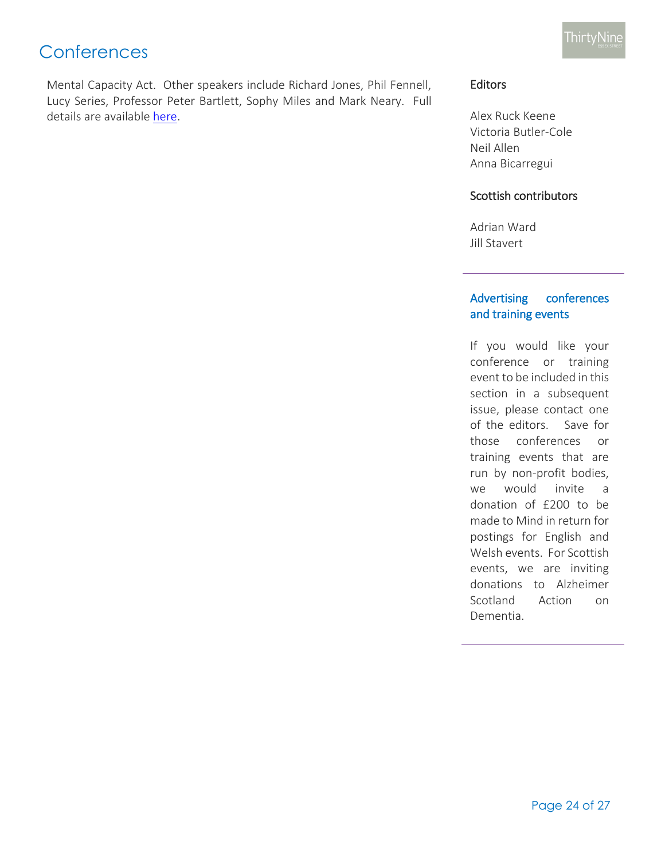Mental Capacity Act. Other speakers include Richard Jones, Phil Fennell, Lucy Series, Professor Peter Bartlett, Sophy Miles and Mark Neary. Full details are available [here.](http://www.39essex.com/docs/seminars/cl_conferenceleaflet_march2014_proof1.pdf)

## Editors

Alex Ruck Keene Victoria Butler-Cole Neil Allen Anna Bicarregui

## Scottish contributors

Adrian Ward Jill Stavert

### Advertising conferences and training events

If you would like your conference or training event to be included in this section in a subsequent issue, please contact one of the editors. Save for those conferences or training events that are run by non-profit bodies, we would invite a donation of £200 to be made to Mind in return for postings for English and Welsh events. For Scottish events, we are inviting donations to Alzheimer Scotland Action on Dementia.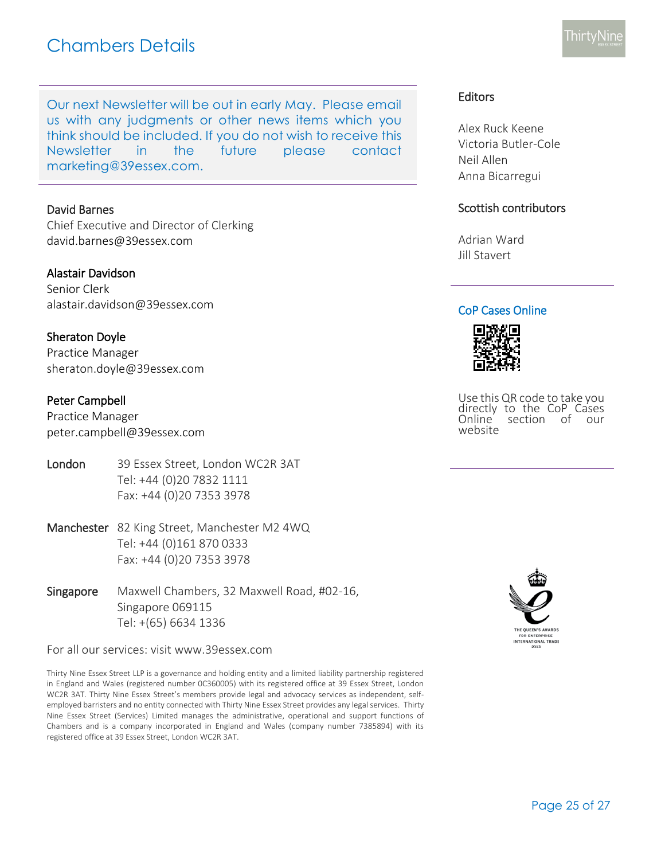## Chambers Details

Our next Newsletter will be out in early May. Please email us with any judgments or other news items which you think should be included. If you do not wish to receive this Newsletter in the future please con[tact](mailto:marketing@39essex.com)  [marketing@39essex.com.](mailto:marketing@39essex.com)

#### David Barnes

Chief Executive and Director of Clerking [david.barnes@39essex.com](mailto:david.barnes@39essex.com)

#### Alastair Davidson

Senior Clerk [alastair.davidson@39essex.com](mailto:alastair.davidson@39essex.com)

#### Sheraton Doyle

Practice Manager [sheraton.doyle@39essex.com](mailto:sheraton.doyle@39essex.com)

#### Peter Campbell

Practice Manager [peter.campbell@39essex.com](mailto:peter.campbell@39essex.com)

- London 39 Essex Street, London WC2R 3AT Tel: +44 (0)20 7832 1111 Fax: +44 (0)20 7353 3978
- Manchester 82 King Street, Manchester M2 4WQ Tel: +44 (0)161 870 0333 Fax: +44 (0)20 7353 3978
- Singapore Maxwell Chambers, 32 Maxwell Road, #02-16, Singapore 069115 Tel: +(65) 6634 1336

For all our services: visit www.39essex.com

Thirty Nine Essex Street LLP is a governance and holding entity and a limited liability partnership registered in England and Wales (registered number 0C360005) with its registered office at 39 Essex Street, London WC2R 3AT. Thirty Nine Essex Street's members provide legal and advocacy services as independent, selfemployed barristers and no entity connected with Thirty Nine Essex Street provides any legal services. Thirty Nine Essex Street (Services) Limited manages the administrative, operational and support functions of Chambers and is a company incorporated in England and Wales (company number 7385894) with its registered office at 39 Essex Street, London WC2R 3AT.

## Editors

Alex Ruck Keene Victoria Butler-Cole Neil Allen Anna Bicarregui

#### Scottish contributors

Adrian Ward Jill Stavert

#### CoP Cases Online



Use this QR code to take you directly to the CoP Cases Online section of our website

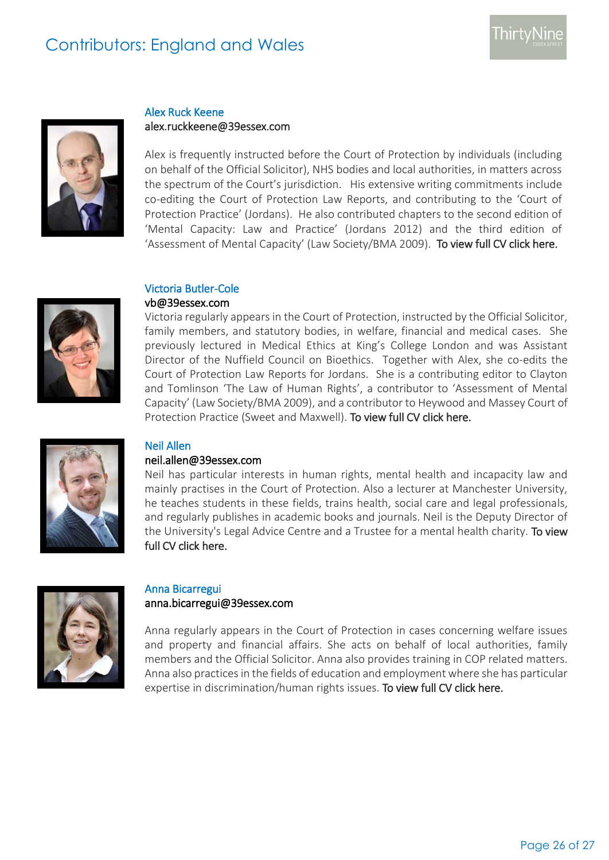# Contributors: England and Wales



## Alex Ruck Keene alex.ruckkeene@39essex.com

Alex is frequently instructed before the Court of Protection by individuals (including on behalf of the Official Solicitor), NHS bodies and local authorities, in matters across the spectrum of the Court's jurisdiction. His extensive writing commitments include co-editing the Court of Protection Law Reports, and contributing to the 'Court of Protection Practice' (Jordans). He also contributed chapters to the second edition of 'Mental Capacity: Law and Practice' (Jordans 2012) and the third edition of 'Assessment of Mental Capacity' (Law Society/BMA 2009). [To view full CV click here.](http://www.39essex.com/members/profile.php?cat=2&id=73) 



## Victoria Butler-Cole

### vb@39essex.com

Victoria regularly appears in the Court of Protection, instructed by the Official Solicitor, family members, and statutory bodies, in welfare, financial and medical cases. She previously lectured in Medical Ethics at King's College London and was Assistant Director of the Nuffield Council on Bioethics. Together with Alex, she co-edits the Court of Protection Law Reports for Jordans. She is a contributing editor to Clayton and Tomlinson 'The Law of Human Rights', a contributor to 'Assessment of Mental Capacity' (Law Society/BMA 2009), and a contributor to Heywood and Massey Court of Protection Practice (Sweet and Maxwell). [To view full CV click here.](http://www.39essex.com/members/profile.php?cat=2&id=78) 



## Neil Allen

#### neil.allen@39essex.com

Neil has particular interests in human rights, mental health and incapacity law and mainly practises in the Court of Protection. Also a lecturer at Manchester University, he teaches students in these fields, trains health, social care and legal professionals, and regularly publishes in academic books and journals. Neil is the Deputy Director of the University's Legal Advice Centre and a Trustee for a mental health charity. To view full CV click here.



## Anna Bicarregui

## anna.bicarregui@39essex.com

Anna regularly appears in the Court of Protection in cases concerning welfare issues and property and financial affairs. She acts on behalf of local authorities, family members and the Official Solicitor. Anna also provides training in COP related matters. Anna also practices in the fields of education and employment where she has particular expertise in discrimination/human rights issues. To view full CV click here.